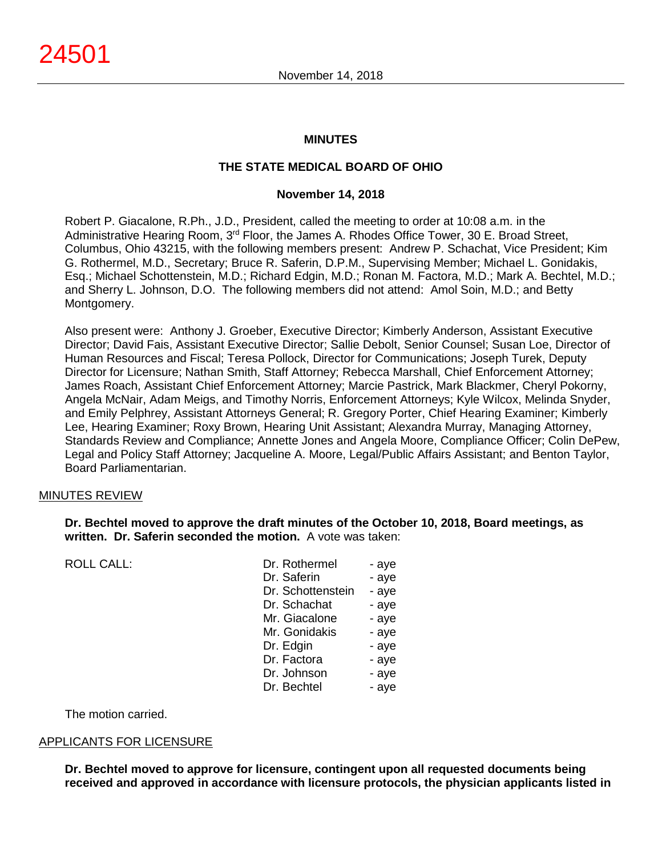#### **MINUTES**

# **THE STATE MEDICAL BOARD OF OHIO**

#### **November 14, 2018**

Robert P. Giacalone, R.Ph., J.D., President, called the meeting to order at 10:08 a.m. in the Administrative Hearing Room, 3rd Floor, the James A. Rhodes Office Tower, 30 E. Broad Street, Columbus, Ohio 43215, with the following members present: Andrew P. Schachat, Vice President; Kim G. Rothermel, M.D., Secretary; Bruce R. Saferin, D.P.M., Supervising Member; Michael L. Gonidakis, Esq.; Michael Schottenstein, M.D.; Richard Edgin, M.D.; Ronan M. Factora, M.D.; Mark A. Bechtel, M.D.; and Sherry L. Johnson, D.O. The following members did not attend: Amol Soin, M.D.; and Betty Montgomery.

Also present were: Anthony J. Groeber, Executive Director; Kimberly Anderson, Assistant Executive Director; David Fais, Assistant Executive Director; Sallie Debolt, Senior Counsel; Susan Loe, Director of Human Resources and Fiscal; Teresa Pollock, Director for Communications; Joseph Turek, Deputy Director for Licensure; Nathan Smith, Staff Attorney; Rebecca Marshall, Chief Enforcement Attorney; James Roach, Assistant Chief Enforcement Attorney; Marcie Pastrick, Mark Blackmer, Cheryl Pokorny, Angela McNair, Adam Meigs, and Timothy Norris, Enforcement Attorneys; Kyle Wilcox, Melinda Snyder, and Emily Pelphrey, Assistant Attorneys General; R. Gregory Porter, Chief Hearing Examiner; Kimberly Lee, Hearing Examiner; Roxy Brown, Hearing Unit Assistant; Alexandra Murray, Managing Attorney, Standards Review and Compliance; Annette Jones and Angela Moore, Compliance Officer; Colin DePew, Legal and Policy Staff Attorney; Jacqueline A. Moore, Legal/Public Affairs Assistant; and Benton Taylor, Board Parliamentarian.

#### MINUTES REVIEW

#### **Dr. Bechtel moved to approve the draft minutes of the October 10, 2018, Board meetings, as written. Dr. Saferin seconded the motion.** A vote was taken:

|  | <b>ROLL CALL:</b> |  |  |
|--|-------------------|--|--|
|--|-------------------|--|--|

| <b>ROLL CALL:</b> | Dr. Rothermel     | - aye |
|-------------------|-------------------|-------|
|                   | Dr. Saferin       | - aye |
|                   | Dr. Schottenstein | - aye |
|                   | Dr. Schachat      | - aye |
|                   | Mr. Giacalone     | - aye |
|                   | Mr. Gonidakis     | - aye |
|                   | Dr. Edgin         | - aye |
|                   | Dr. Factora       | - aye |
|                   | Dr. Johnson       | - aye |
|                   | Dr. Bechtel       | - aye |
|                   |                   |       |

The motion carried.

#### APPLICANTS FOR LICENSURE

**Dr. Bechtel moved to approve for licensure, contingent upon all requested documents being received and approved in accordance with licensure protocols, the physician applicants listed in**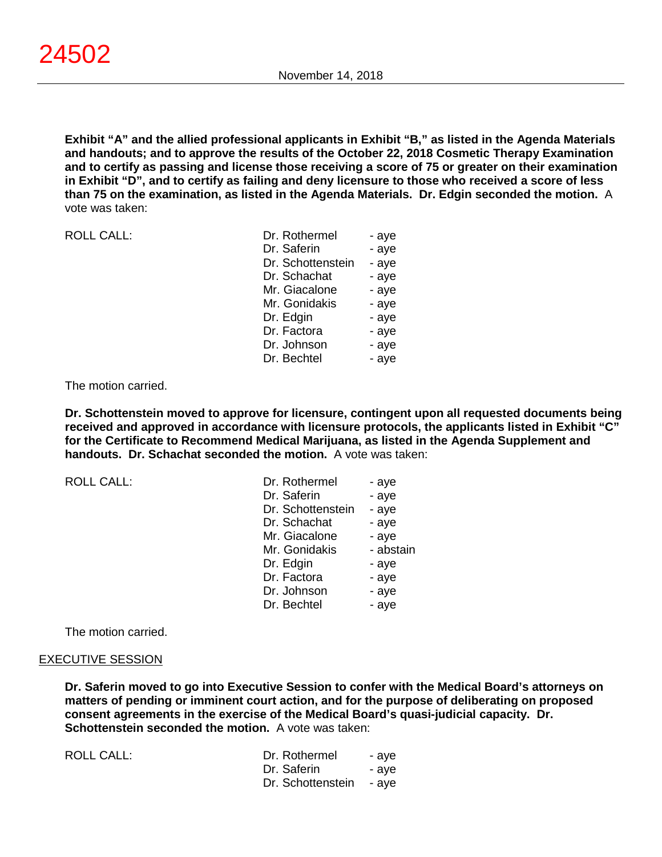**Exhibit "A" and the allied professional applicants in Exhibit "B," as listed in the Agenda Materials and handouts; and to approve the results of the October 22, 2018 Cosmetic Therapy Examination and to certify as passing and license those receiving a score of 75 or greater on their examination in Exhibit "D", and to certify as failing and deny licensure to those who received a score of less than 75 on the examination, as listed in the Agenda Materials. Dr. Edgin seconded the motion.** A vote was taken:

ROLL CALL:

| Dr. Rothermel     | - aye |
|-------------------|-------|
| Dr. Saferin       | - aye |
| Dr. Schottenstein | - aye |
| Dr. Schachat      | - aye |
| Mr. Giacalone     | - aye |
| Mr. Gonidakis     | - aye |
| Dr. Edgin         | - aye |
| Dr. Factora       | - aye |
| Dr. Johnson       | - aye |
| Dr. Bechtel       | - ave |

#### The motion carried.

**Dr. Schottenstein moved to approve for licensure, contingent upon all requested documents being received and approved in accordance with licensure protocols, the applicants listed in Exhibit "C" for the Certificate to Recommend Medical Marijuana, as listed in the Agenda Supplement and handouts. Dr. Schachat seconded the motion.** A vote was taken:

ROLL CALL:

| Dr. Rothermel     | - aye     |
|-------------------|-----------|
| Dr. Saferin       | - aye     |
| Dr. Schottenstein | - aye     |
| Dr. Schachat      | - aye     |
| Mr. Giacalone     | - aye     |
| Mr. Gonidakis     | - abstain |
| Dr. Edgin         | - aye     |
| Dr. Factora       | - aye     |
| Dr. Johnson       | - aye     |
| Dr. Bechtel       | - aye     |

The motion carried.

#### EXECUTIVE SESSION

**Dr. Saferin moved to go into Executive Session to confer with the Medical Board's attorneys on matters of pending or imminent court action, and for the purpose of deliberating on proposed consent agreements in the exercise of the Medical Board's quasi-judicial capacity. Dr. Schottenstein seconded the motion.** A vote was taken:

ROLL CALL:

| Dr. Rothermel     | - aye |
|-------------------|-------|
| Dr. Saferin       | - aye |
| Dr. Schottenstein | - aye |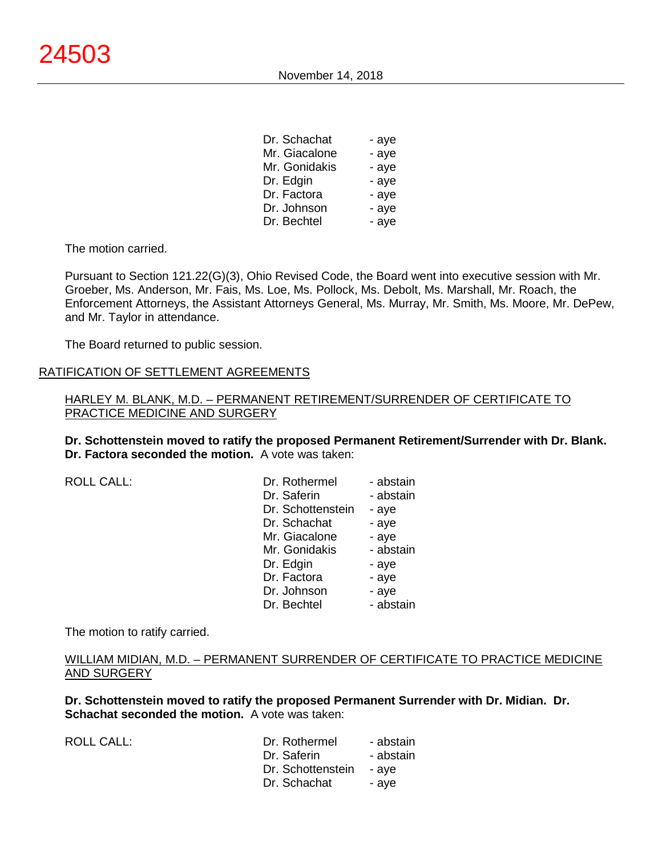| Dr. Schachat  | - ave |
|---------------|-------|
| Mr. Giacalone | - aye |
| Mr. Gonidakis | - aye |
| Dr. Edgin     | - aye |
| Dr. Factora   | - aye |
| Dr. Johnson   | - aye |
| Dr. Bechtel   | - aye |

 $\sim$   $\sim$   $\sim$   $\sim$ 

The motion carried.

Pursuant to Section 121.22(G)(3), Ohio Revised Code, the Board went into executive session with Mr. Groeber, Ms. Anderson, Mr. Fais, Ms. Loe, Ms. Pollock, Ms. Debolt, Ms. Marshall, Mr. Roach, the Enforcement Attorneys, the Assistant Attorneys General, Ms. Murray, Mr. Smith, Ms. Moore, Mr. DePew, and Mr. Taylor in attendance.

The Board returned to public session.

#### RATIFICATION OF SETTLEMENT AGREEMENTS

HARLEY M. BLANK, M.D. – PERMANENT RETIREMENT/SURRENDER OF CERTIFICATE TO PRACTICE MEDICINE AND SURGERY

**Dr. Schottenstein moved to ratify the proposed Permanent Retirement/Surrender with Dr. Blank. Dr. Factora seconded the motion.** A vote was taken:

ROLL CALL:

| Dr. Rothermel     | - abstain |
|-------------------|-----------|
| Dr. Saferin       | - abstain |
| Dr. Schottenstein | - aye     |
| Dr. Schachat      | - aye     |
| Mr. Giacalone     | - aye     |
| Mr. Gonidakis     | - abstain |
| Dr. Edgin         | - aye     |
| Dr. Factora       | - aye     |
| Dr. Johnson       | - aye     |
| Dr. Bechtel       | - abstain |

The motion to ratify carried.

#### WILLIAM MIDIAN, M.D. – PERMANENT SURRENDER OF CERTIFICATE TO PRACTICE MEDICINE AND SURGERY

**Dr. Schottenstein moved to ratify the proposed Permanent Surrender with Dr. Midian. Dr. Schachat seconded the motion.** A vote was taken:

ROLL CALL:

| Dr. Rothermel     | - abstain |
|-------------------|-----------|
| Dr. Saferin       | - abstain |
| Dr. Schottenstein | - aye     |
| Dr. Schachat      | - aye     |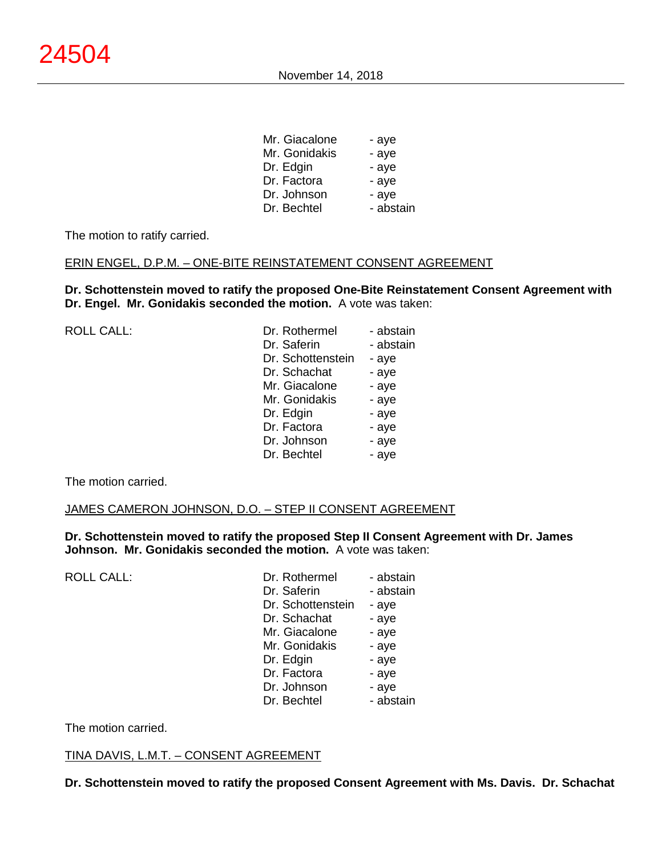| Mr. Giacalone | - aye     |
|---------------|-----------|
| Mr. Gonidakis | - aye     |
| Dr. Edgin     | - aye     |
| Dr. Factora   | - aye     |
| Dr. Johnson   | - aye     |
| Dr. Bechtel   | - abstain |
|               |           |

The motion to ratify carried.

#### ERIN ENGEL, D.P.M. – ONE-BITE REINSTATEMENT CONSENT AGREEMENT

**Dr. Schottenstein moved to ratify the proposed One-Bite Reinstatement Consent Agreement with Dr. Engel. Mr. Gonidakis seconded the motion.** A vote was taken:

| <b>ROLL CALL:</b> | Dr. Rothermel     | - abstain |
|-------------------|-------------------|-----------|
|                   | Dr. Saferin       | - abstain |
|                   | Dr. Schottenstein | - aye     |
|                   | Dr. Schachat      | - aye     |
|                   | Mr. Giacalone     | - aye     |
|                   | Mr. Gonidakis     | - aye     |
|                   | Dr. Edgin         | - aye     |
|                   | Dr. Factora       | - aye     |
|                   | Dr. Johnson       | - aye     |
|                   | Dr. Bechtel       | - aye     |

The motion carried.

#### JAMES CAMERON JOHNSON, D.O. – STEP II CONSENT AGREEMENT

**Dr. Schottenstein moved to ratify the proposed Step II Consent Agreement with Dr. James Johnson. Mr. Gonidakis seconded the motion.** A vote was taken:

ROLL CALL:

| Dr. Rothermel     | - abstain |
|-------------------|-----------|
| Dr. Saferin       | - abstain |
| Dr. Schottenstein | - aye     |
| Dr. Schachat      | - aye     |
| Mr. Giacalone     | - aye     |
| Mr. Gonidakis     | - aye     |
| Dr. Edgin         | - aye     |
| Dr. Factora       | - aye     |
| Dr. Johnson       | - aye     |
| Dr. Bechtel       | - abstain |

The motion carried.

#### TINA DAVIS, L.M.T. – CONSENT AGREEMENT

**Dr. Schottenstein moved to ratify the proposed Consent Agreement with Ms. Davis. Dr. Schachat**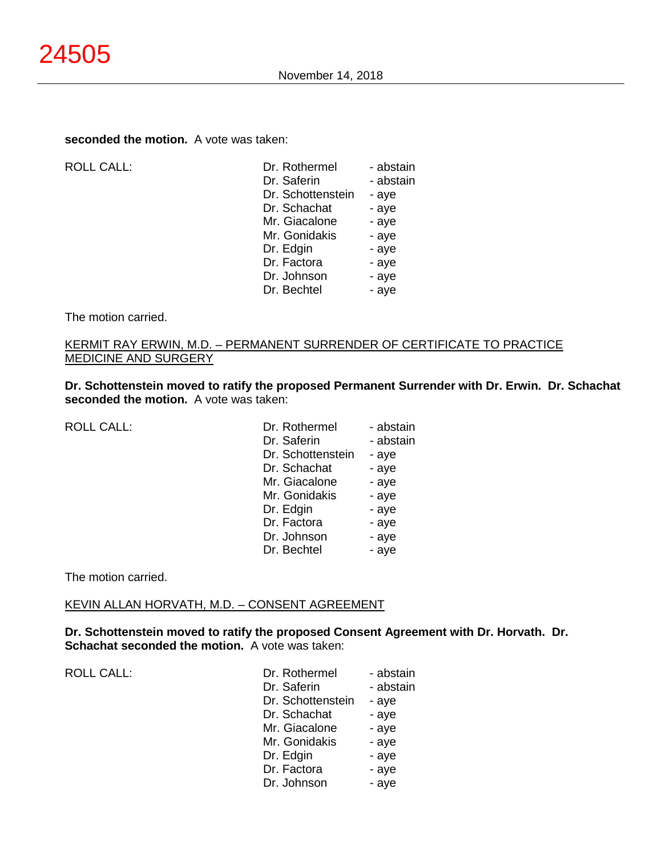## **seconded the motion.** A vote was taken:

| <b>ROLL CALL:</b> |
|-------------------|
|-------------------|

| <b>ROLL CALL:</b> | Dr. Rothermel     | - abstain |
|-------------------|-------------------|-----------|
|                   | Dr. Saferin       | - abstain |
|                   | Dr. Schottenstein | - aye     |
|                   | Dr. Schachat      | - aye     |
|                   | Mr. Giacalone     | - aye     |
|                   | Mr. Gonidakis     | - aye     |
|                   | Dr. Edgin         | - aye     |
|                   | Dr. Factora       | - aye     |
|                   | Dr. Johnson       | - aye     |
|                   | Dr. Bechtel       | - aye     |
|                   |                   |           |

#### The motion carried.

#### KERMIT RAY ERWIN, M.D. – PERMANENT SURRENDER OF CERTIFICATE TO PRACTICE MEDICINE AND SURGERY

**Dr. Schottenstein moved to ratify the proposed Permanent Surrender with Dr. Erwin. Dr. Schachat seconded the motion.** A vote was taken:

| <b>ROLL CALL:</b> |
|-------------------|
|-------------------|

| Dr. Rothermel     | - abstain |
|-------------------|-----------|
| Dr. Saferin       | - abstain |
| Dr. Schottenstein | - aye     |
| Dr. Schachat      | - aye     |
| Mr. Giacalone     | - aye     |
| Mr. Gonidakis     | - aye     |
| Dr. Edgin         | - aye     |
| Dr. Factora       | - aye     |
| Dr. Johnson       | - aye     |
| Dr. Bechtel       | - ave     |

The motion carried.

#### KEVIN ALLAN HORVATH, M.D. – CONSENT AGREEMENT

**Dr. Schottenstein moved to ratify the proposed Consent Agreement with Dr. Horvath. Dr. Schachat seconded the motion.** A vote was taken:

| Dr. Rothermel     | - abstain |
|-------------------|-----------|
| Dr. Saferin       | - abstain |
| Dr. Schottenstein | - aye     |
| Dr. Schachat      | - aye     |
| Mr. Giacalone     | - aye     |
| Mr. Gonidakis     | - aye     |
| Dr. Edgin         | - aye     |
| Dr. Factora       | - aye     |
| Dr. Johnson       | - aye     |
|                   |           |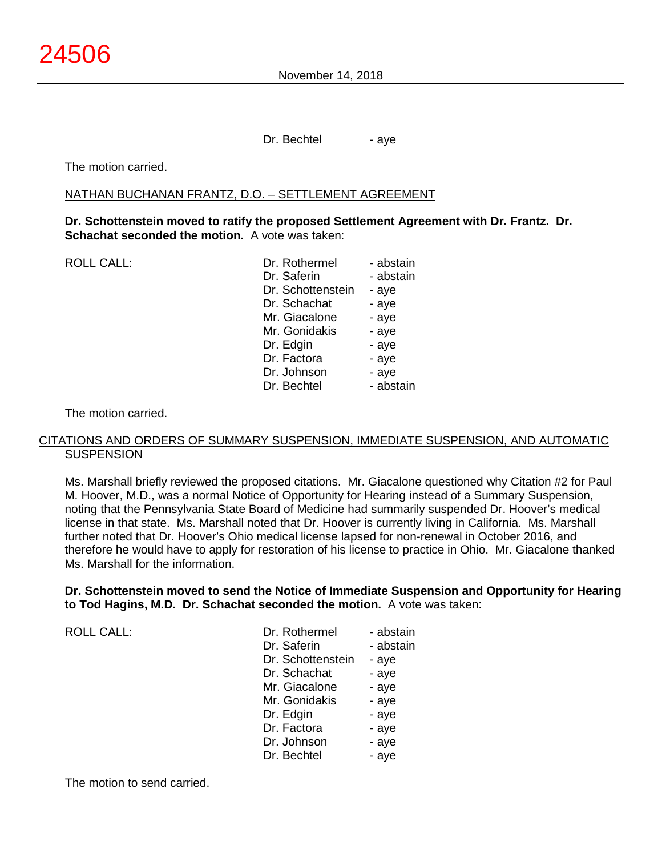Dr. Bechtel - aye

The motion carried.

#### NATHAN BUCHANAN FRANTZ, D.O. – SETTLEMENT AGREEMENT

**Dr. Schottenstein moved to ratify the proposed Settlement Agreement with Dr. Frantz. Dr. Schachat seconded the motion.** A vote was taken:

ROLL CALL:

| Dr. Rothermel     | - abstain |
|-------------------|-----------|
| Dr. Saferin       | - abstain |
| Dr. Schottenstein | - aye     |
| Dr. Schachat      | - aye     |
| Mr. Giacalone     | - aye     |
| Mr. Gonidakis     | - aye     |
| Dr. Edgin         | - aye     |
| Dr. Factora       | - aye     |
| Dr. Johnson       | - aye     |
| Dr. Bechtel       | - abstain |
|                   |           |

The motion carried.

#### CITATIONS AND ORDERS OF SUMMARY SUSPENSION, IMMEDIATE SUSPENSION, AND AUTOMATIC **SUSPENSION**

Ms. Marshall briefly reviewed the proposed citations. Mr. Giacalone questioned why Citation #2 for Paul M. Hoover, M.D., was a normal Notice of Opportunity for Hearing instead of a Summary Suspension, noting that the Pennsylvania State Board of Medicine had summarily suspended Dr. Hoover's medical license in that state. Ms. Marshall noted that Dr. Hoover is currently living in California. Ms. Marshall further noted that Dr. Hoover's Ohio medical license lapsed for non-renewal in October 2016, and therefore he would have to apply for restoration of his license to practice in Ohio. Mr. Giacalone thanked Ms. Marshall for the information.

## **Dr. Schottenstein moved to send the Notice of Immediate Suspension and Opportunity for Hearing to Tod Hagins, M.D. Dr. Schachat seconded the motion.** A vote was taken:

| <b>ROLL CALL:</b> | Dr. Rothermel     | - abstain |
|-------------------|-------------------|-----------|
|                   | Dr. Saferin       | - abstain |
|                   | Dr. Schottenstein | - aye     |
|                   | Dr. Schachat      | - aye     |
|                   | Mr. Giacalone     | - aye     |
|                   | Mr. Gonidakis     | - aye     |
|                   | Dr. Edgin         | - aye     |
|                   | Dr. Factora       | - aye     |
|                   | Dr. Johnson       | - aye     |
|                   | Dr. Bechtel       | - aye     |

The motion to send carried.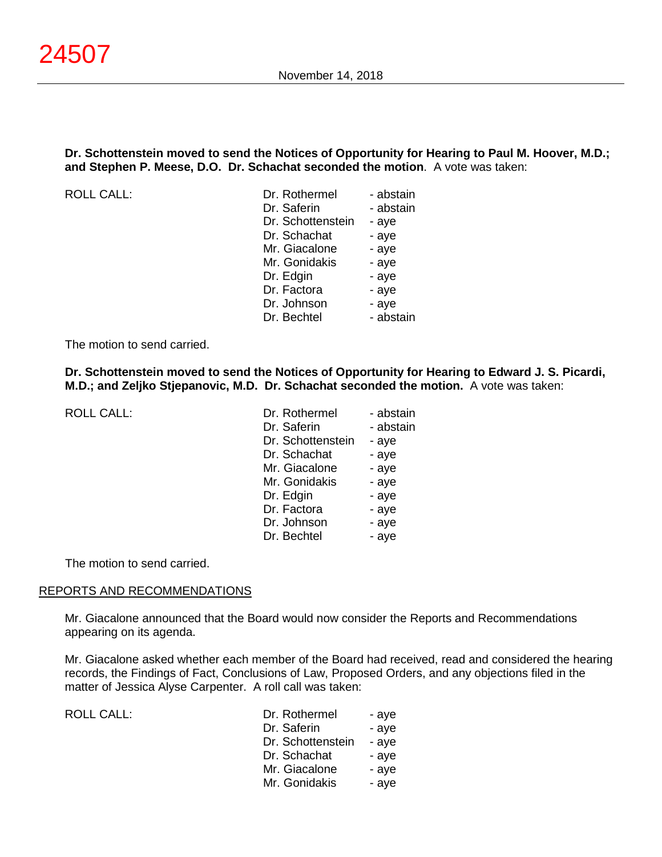## **Dr. Schottenstein moved to send the Notices of Opportunity for Hearing to Paul M. Hoover, M.D.; and Stephen P. Meese, D.O. Dr. Schachat seconded the motion**. A vote was taken:

ROLL CALL:

| - abstain |
|-----------|
| - abstain |
| - aye     |
| - aye     |
| - aye     |
| - aye     |
| - aye     |
| - aye     |
| - aye     |
| - abstain |
|           |

The motion to send carried.

**Dr. Schottenstein moved to send the Notices of Opportunity for Hearing to Edward J. S. Picardi, M.D.; and Zeljko Stjepanovic, M.D. Dr. Schachat seconded the motion.** A vote was taken:

ROLL CALL:

| Dr. Rothermel     | - abstain |
|-------------------|-----------|
| Dr. Saferin       | - abstain |
| Dr. Schottenstein | - aye     |
| Dr. Schachat      | - aye     |
| Mr. Giacalone     | - aye     |
| Mr. Gonidakis     | - aye     |
| Dr. Edgin         | - aye     |
| Dr. Factora       | - aye     |
| Dr. Johnson       | - aye     |
| Dr. Bechtel       | - aye     |

The motion to send carried.

#### REPORTS AND RECOMMENDATIONS

Mr. Giacalone announced that the Board would now consider the Reports and Recommendations appearing on its agenda.

Mr. Giacalone asked whether each member of the Board had received, read and considered the hearing records, the Findings of Fact, Conclusions of Law, Proposed Orders, and any objections filed in the matter of Jessica Alyse Carpenter. A roll call was taken:

| <b>ROLL CALL:</b> | Dr. Rothermel     | - aye |
|-------------------|-------------------|-------|
|                   | Dr. Saferin       | - aye |
|                   | Dr. Schottenstein | - aye |
|                   | Dr. Schachat      | - aye |
|                   | Mr. Giacalone     | - aye |
|                   | Mr. Gonidakis     | - aye |
|                   |                   |       |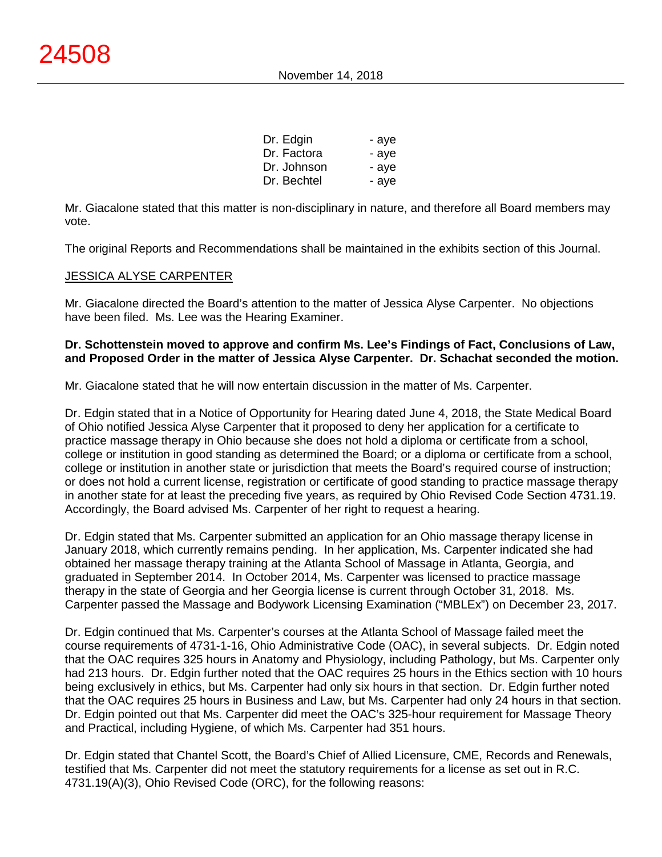| Dr. Edgin   | - aye |
|-------------|-------|
| Dr. Factora | - aye |
| Dr. Johnson | - aye |
| Dr. Bechtel | - ave |

Mr. Giacalone stated that this matter is non-disciplinary in nature, and therefore all Board members may vote.

The original Reports and Recommendations shall be maintained in the exhibits section of this Journal.

## JESSICA ALYSE CARPENTER

Mr. Giacalone directed the Board's attention to the matter of Jessica Alyse Carpenter. No objections have been filed. Ms. Lee was the Hearing Examiner.

## **Dr. Schottenstein moved to approve and confirm Ms. Lee's Findings of Fact, Conclusions of Law, and Proposed Order in the matter of Jessica Alyse Carpenter. Dr. Schachat seconded the motion.**

Mr. Giacalone stated that he will now entertain discussion in the matter of Ms. Carpenter.

Dr. Edgin stated that in a Notice of Opportunity for Hearing dated June 4, 2018, the State Medical Board of Ohio notified Jessica Alyse Carpenter that it proposed to deny her application for a certificate to practice massage therapy in Ohio because she does not hold a diploma or certificate from a school, college or institution in good standing as determined the Board; or a diploma or certificate from a school, college or institution in another state or jurisdiction that meets the Board's required course of instruction; or does not hold a current license, registration or certificate of good standing to practice massage therapy in another state for at least the preceding five years, as required by Ohio Revised Code Section 4731.19. Accordingly, the Board advised Ms. Carpenter of her right to request a hearing.

Dr. Edgin stated that Ms. Carpenter submitted an application for an Ohio massage therapy license in January 2018, which currently remains pending. In her application, Ms. Carpenter indicated she had obtained her massage therapy training at the Atlanta School of Massage in Atlanta, Georgia, and graduated in September 2014. In October 2014, Ms. Carpenter was licensed to practice massage therapy in the state of Georgia and her Georgia license is current through October 31, 2018. Ms. Carpenter passed the Massage and Bodywork Licensing Examination ("MBLEx") on December 23, 2017.

Dr. Edgin continued that Ms. Carpenter's courses at the Atlanta School of Massage failed meet the course requirements of 4731-1-16, Ohio Administrative Code (OAC), in several subjects. Dr. Edgin noted that the OAC requires 325 hours in Anatomy and Physiology, including Pathology, but Ms. Carpenter only had 213 hours. Dr. Edgin further noted that the OAC requires 25 hours in the Ethics section with 10 hours being exclusively in ethics, but Ms. Carpenter had only six hours in that section. Dr. Edgin further noted that the OAC requires 25 hours in Business and Law, but Ms. Carpenter had only 24 hours in that section. Dr. Edgin pointed out that Ms. Carpenter did meet the OAC's 325-hour requirement for Massage Theory and Practical, including Hygiene, of which Ms. Carpenter had 351 hours.

Dr. Edgin stated that Chantel Scott, the Board's Chief of Allied Licensure, CME, Records and Renewals, testified that Ms. Carpenter did not meet the statutory requirements for a license as set out in R.C. 4731.19(A)(3), Ohio Revised Code (ORC), for the following reasons: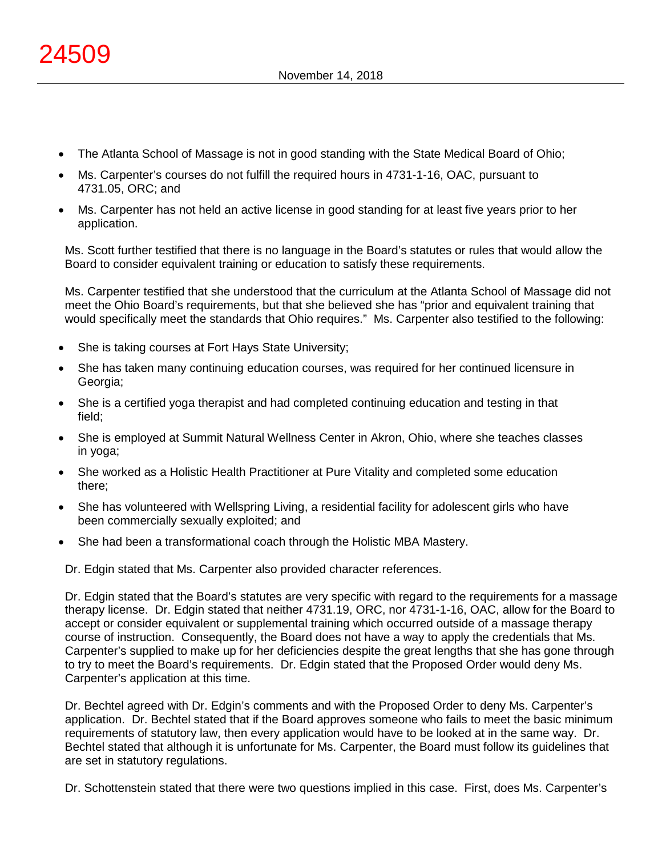- The Atlanta School of Massage is not in good standing with the State Medical Board of Ohio;
- Ms. Carpenter's courses do not fulfill the required hours in 4731-1-16, OAC, pursuant to 4731.05, ORC; and
- Ms. Carpenter has not held an active license in good standing for at least five years prior to her application.

Ms. Scott further testified that there is no language in the Board's statutes or rules that would allow the Board to consider equivalent training or education to satisfy these requirements.

Ms. Carpenter testified that she understood that the curriculum at the Atlanta School of Massage did not meet the Ohio Board's requirements, but that she believed she has "prior and equivalent training that would specifically meet the standards that Ohio requires." Ms. Carpenter also testified to the following:

- She is taking courses at Fort Hays State University;
- She has taken many continuing education courses, was required for her continued licensure in Georgia;
- She is a certified yoga therapist and had completed continuing education and testing in that field;
- She is employed at Summit Natural Wellness Center in Akron, Ohio, where she teaches classes in yoga;
- She worked as a Holistic Health Practitioner at Pure Vitality and completed some education there;
- She has volunteered with Wellspring Living, a residential facility for adolescent girls who have been commercially sexually exploited; and
- She had been a transformational coach through the Holistic MBA Mastery.

Dr. Edgin stated that Ms. Carpenter also provided character references.

Dr. Edgin stated that the Board's statutes are very specific with regard to the requirements for a massage therapy license. Dr. Edgin stated that neither 4731.19, ORC, nor 4731-1-16, OAC, allow for the Board to accept or consider equivalent or supplemental training which occurred outside of a massage therapy course of instruction. Consequently, the Board does not have a way to apply the credentials that Ms. Carpenter's supplied to make up for her deficiencies despite the great lengths that she has gone through to try to meet the Board's requirements. Dr. Edgin stated that the Proposed Order would deny Ms. Carpenter's application at this time.

Dr. Bechtel agreed with Dr. Edgin's comments and with the Proposed Order to deny Ms. Carpenter's application. Dr. Bechtel stated that if the Board approves someone who fails to meet the basic minimum requirements of statutory law, then every application would have to be looked at in the same way. Dr. Bechtel stated that although it is unfortunate for Ms. Carpenter, the Board must follow its guidelines that are set in statutory regulations.

Dr. Schottenstein stated that there were two questions implied in this case. First, does Ms. Carpenter's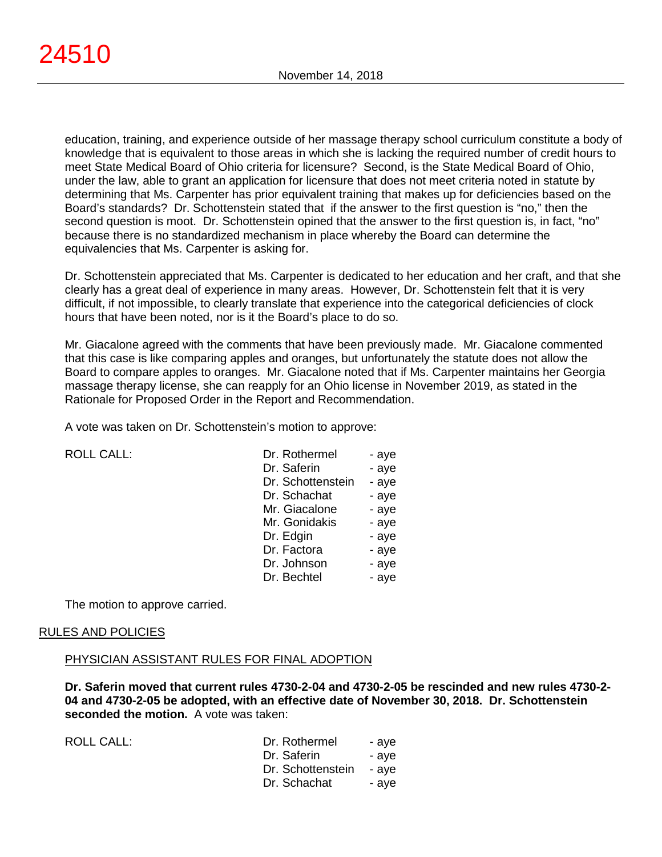education, training, and experience outside of her massage therapy school curriculum constitute a body of knowledge that is equivalent to those areas in which she is lacking the required number of credit hours to meet State Medical Board of Ohio criteria for licensure? Second, is the State Medical Board of Ohio, under the law, able to grant an application for licensure that does not meet criteria noted in statute by determining that Ms. Carpenter has prior equivalent training that makes up for deficiencies based on the Board's standards? Dr. Schottenstein stated that if the answer to the first question is "no," then the second question is moot. Dr. Schottenstein opined that the answer to the first question is, in fact, "no" because there is no standardized mechanism in place whereby the Board can determine the equivalencies that Ms. Carpenter is asking for.

Dr. Schottenstein appreciated that Ms. Carpenter is dedicated to her education and her craft, and that she clearly has a great deal of experience in many areas. However, Dr. Schottenstein felt that it is very difficult, if not impossible, to clearly translate that experience into the categorical deficiencies of clock hours that have been noted, nor is it the Board's place to do so.

Mr. Giacalone agreed with the comments that have been previously made. Mr. Giacalone commented that this case is like comparing apples and oranges, but unfortunately the statute does not allow the Board to compare apples to oranges. Mr. Giacalone noted that if Ms. Carpenter maintains her Georgia massage therapy license, she can reapply for an Ohio license in November 2019, as stated in the Rationale for Proposed Order in the Report and Recommendation.

A vote was taken on Dr. Schottenstein's motion to approve:

| <b>ROLL CALL:</b> |
|-------------------|
|                   |

| <b>ROLL CALL:</b> | Dr. Rothermel     | - aye |
|-------------------|-------------------|-------|
|                   | Dr. Saferin       | - aye |
|                   | Dr. Schottenstein | - aye |
|                   | Dr. Schachat      | - aye |
|                   | Mr. Giacalone     | - aye |
|                   | Mr. Gonidakis     | - aye |
|                   | Dr. Edgin         | - aye |
|                   | Dr. Factora       | - aye |
|                   | Dr. Johnson       | - aye |
|                   | Dr. Bechtel       | - aye |
|                   |                   |       |

The motion to approve carried.

#### RULES AND POLICIES

#### PHYSICIAN ASSISTANT RULES FOR FINAL ADOPTION

**Dr. Saferin moved that current rules 4730-2-04 and 4730-2-05 be rescinded and new rules 4730-2- 04 and 4730-2-05 be adopted, with an effective date of November 30, 2018. Dr. Schottenstein seconded the motion.** A vote was taken:

| ROLL CALL: | Dr. Rothermel     | - ave |
|------------|-------------------|-------|
|            | Dr. Saferin       | - ave |
|            | Dr. Schottenstein | - ave |
|            | Dr. Schachat      | - ave |
|            |                   |       |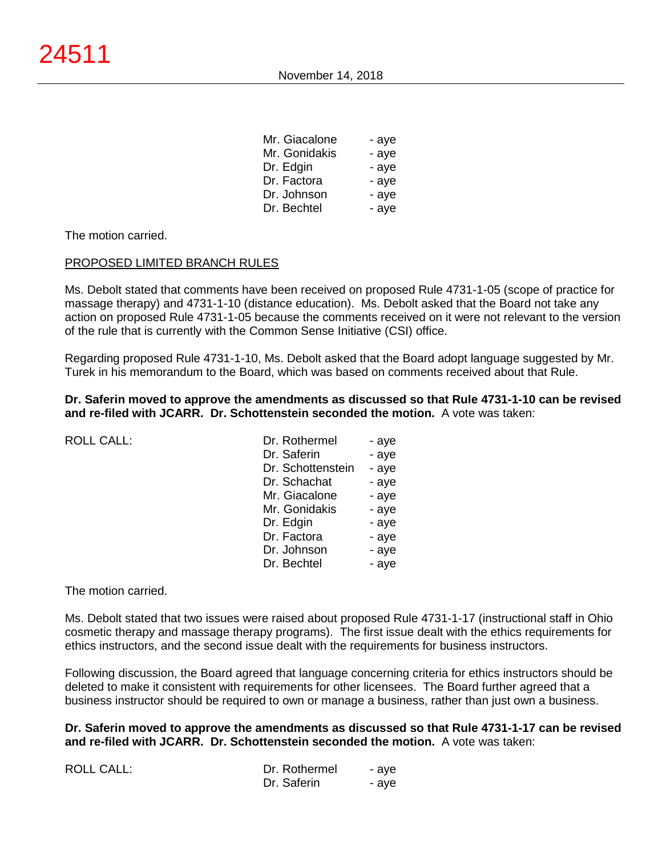| Mr. Giacalone | - aye |
|---------------|-------|
| Mr. Gonidakis | - aye |
| Dr. Edgin     | - aye |
| Dr. Factora   | - aye |
| Dr. Johnson   | - aye |
| Dr. Bechtel   | - aye |
|               |       |

## The motion carried.

#### PROPOSED LIMITED BRANCH RULES

Ms. Debolt stated that comments have been received on proposed Rule 4731-1-05 (scope of practice for massage therapy) and 4731-1-10 (distance education). Ms. Debolt asked that the Board not take any action on proposed Rule 4731-1-05 because the comments received on it were not relevant to the version of the rule that is currently with the Common Sense Initiative (CSI) office.

Regarding proposed Rule 4731-1-10, Ms. Debolt asked that the Board adopt language suggested by Mr. Turek in his memorandum to the Board, which was based on comments received about that Rule.

#### **Dr. Saferin moved to approve the amendments as discussed so that Rule 4731-1-10 can be revised and re-filed with JCARR. Dr. Schottenstein seconded the motion.** A vote was taken:

| <b>ROLL CALL:</b> |  |
|-------------------|--|
|                   |  |

| ROLL CALL: | Dr. Rothermel     | - aye |
|------------|-------------------|-------|
|            | Dr. Saferin       | - aye |
|            | Dr. Schottenstein | - aye |
|            | Dr. Schachat      | - aye |
|            | Mr. Giacalone     | - aye |
|            | Mr. Gonidakis     | - aye |
|            | Dr. Edgin         | - aye |
|            | Dr. Factora       | - aye |
|            | Dr. Johnson       | - aye |
|            | Dr. Bechtel       | - aye |
|            |                   |       |

#### The motion carried.

Ms. Debolt stated that two issues were raised about proposed Rule 4731-1-17 (instructional staff in Ohio cosmetic therapy and massage therapy programs). The first issue dealt with the ethics requirements for ethics instructors, and the second issue dealt with the requirements for business instructors.

Following discussion, the Board agreed that language concerning criteria for ethics instructors should be deleted to make it consistent with requirements for other licensees. The Board further agreed that a business instructor should be required to own or manage a business, rather than just own a business.

**Dr. Saferin moved to approve the amendments as discussed so that Rule 4731-1-17 can be revised and re-filed with JCARR. Dr. Schottenstein seconded the motion.** A vote was taken:

| ROLL CALL: | Dr. Rothermel | - ave |
|------------|---------------|-------|
|            | Dr. Saferin   | - ave |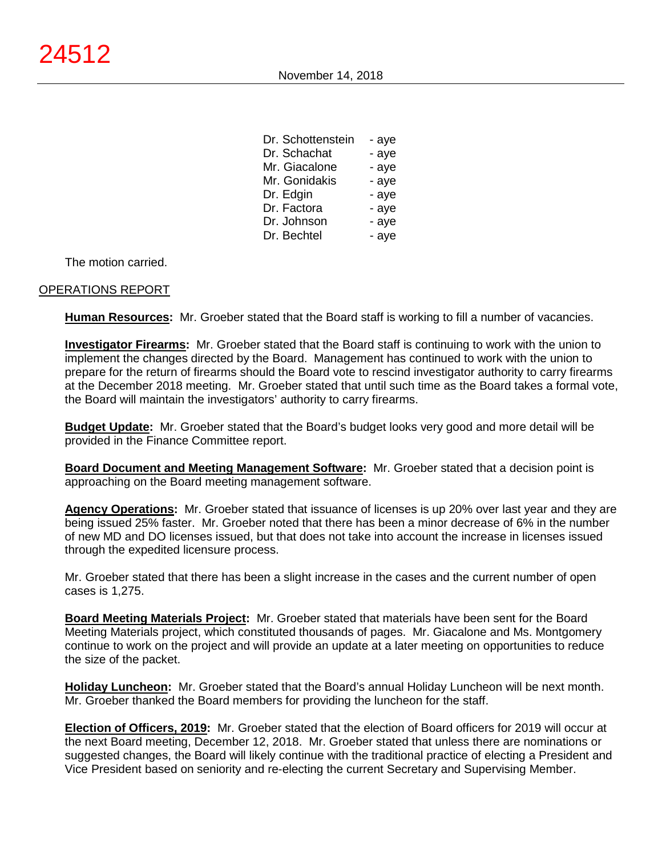| Dr. Schottenstein | - aye |
|-------------------|-------|
| Dr. Schachat      | - aye |
| Mr. Giacalone     | - aye |
| Mr. Gonidakis     | - aye |
| Dr. Edgin         | - aye |
| Dr. Factora       | - aye |
| Dr. Johnson       | - aye |
| Dr. Bechtel       | - aye |

The motion carried.

# OPERATIONS REPORT

**Human Resources:** Mr. Groeber stated that the Board staff is working to fill a number of vacancies.

**Investigator Firearms:** Mr. Groeber stated that the Board staff is continuing to work with the union to implement the changes directed by the Board. Management has continued to work with the union to prepare for the return of firearms should the Board vote to rescind investigator authority to carry firearms at the December 2018 meeting. Mr. Groeber stated that until such time as the Board takes a formal vote, the Board will maintain the investigators' authority to carry firearms.

**Budget Update:** Mr. Groeber stated that the Board's budget looks very good and more detail will be provided in the Finance Committee report.

**Board Document and Meeting Management Software:** Mr. Groeber stated that a decision point is approaching on the Board meeting management software.

**Agency Operations:** Mr. Groeber stated that issuance of licenses is up 20% over last year and they are being issued 25% faster. Mr. Groeber noted that there has been a minor decrease of 6% in the number of new MD and DO licenses issued, but that does not take into account the increase in licenses issued through the expedited licensure process.

Mr. Groeber stated that there has been a slight increase in the cases and the current number of open cases is 1,275.

**Board Meeting Materials Project:** Mr. Groeber stated that materials have been sent for the Board Meeting Materials project, which constituted thousands of pages. Mr. Giacalone and Ms. Montgomery continue to work on the project and will provide an update at a later meeting on opportunities to reduce the size of the packet.

**Holiday Luncheon:** Mr. Groeber stated that the Board's annual Holiday Luncheon will be next month. Mr. Groeber thanked the Board members for providing the luncheon for the staff.

**Election of Officers, 2019:** Mr. Groeber stated that the election of Board officers for 2019 will occur at the next Board meeting, December 12, 2018. Mr. Groeber stated that unless there are nominations or suggested changes, the Board will likely continue with the traditional practice of electing a President and Vice President based on seniority and re-electing the current Secretary and Supervising Member.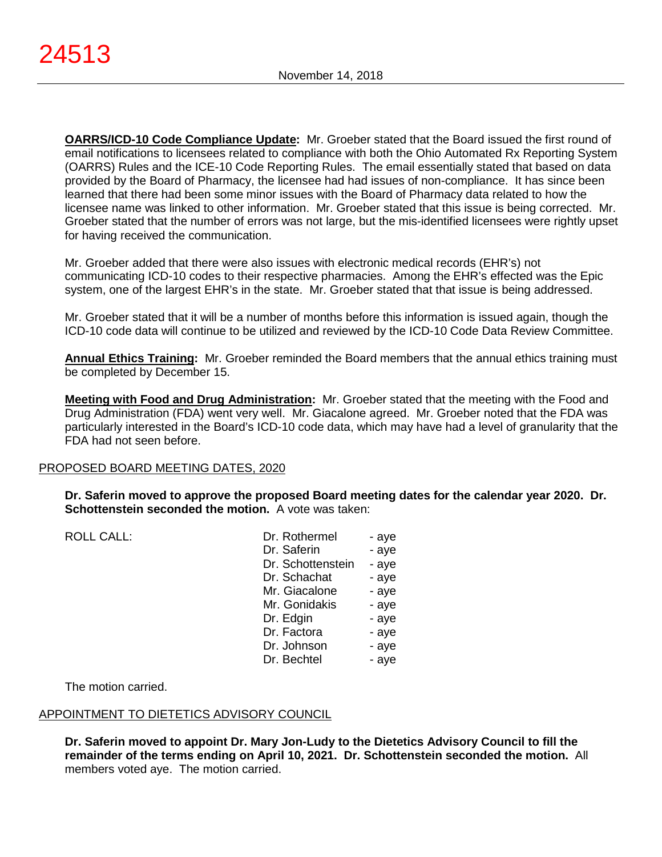**OARRS/ICD-10 Code Compliance Update:** Mr. Groeber stated that the Board issued the first round of email notifications to licensees related to compliance with both the Ohio Automated Rx Reporting System (OARRS) Rules and the ICE-10 Code Reporting Rules. The email essentially stated that based on data provided by the Board of Pharmacy, the licensee had had issues of non-compliance. It has since been learned that there had been some minor issues with the Board of Pharmacy data related to how the licensee name was linked to other information. Mr. Groeber stated that this issue is being corrected. Mr. Groeber stated that the number of errors was not large, but the mis-identified licensees were rightly upset for having received the communication.

Mr. Groeber added that there were also issues with electronic medical records (EHR's) not communicating ICD-10 codes to their respective pharmacies. Among the EHR's effected was the Epic system, one of the largest EHR's in the state. Mr. Groeber stated that that issue is being addressed.

Mr. Groeber stated that it will be a number of months before this information is issued again, though the ICD-10 code data will continue to be utilized and reviewed by the ICD-10 Code Data Review Committee.

**Annual Ethics Training:** Mr. Groeber reminded the Board members that the annual ethics training must be completed by December 15.

**Meeting with Food and Drug Administration:** Mr. Groeber stated that the meeting with the Food and Drug Administration (FDA) went very well. Mr. Giacalone agreed. Mr. Groeber noted that the FDA was particularly interested in the Board's ICD-10 code data, which may have had a level of granularity that the FDA had not seen before.

# PROPOSED BOARD MEETING DATES, 2020

**Dr. Saferin moved to approve the proposed Board meeting dates for the calendar year 2020. Dr. Schottenstein seconded the motion.** A vote was taken:

ROLL CALL:

| Dr. Rothermel     | - aye |
|-------------------|-------|
| Dr. Saferin       | - aye |
| Dr. Schottenstein | - aye |
| Dr. Schachat      | - aye |
| Mr. Giacalone     | - aye |
| Mr. Gonidakis     | - aye |
| Dr. Edgin         | - aye |
| Dr. Factora       | - aye |
| Dr. Johnson       | - aye |
| Dr. Bechtel       | - aye |

The motion carried.

# APPOINTMENT TO DIETETICS ADVISORY COUNCIL

**Dr. Saferin moved to appoint Dr. Mary Jon-Ludy to the Dietetics Advisory Council to fill the remainder of the terms ending on April 10, 2021. Dr. Schottenstein seconded the motion.** All members voted aye. The motion carried.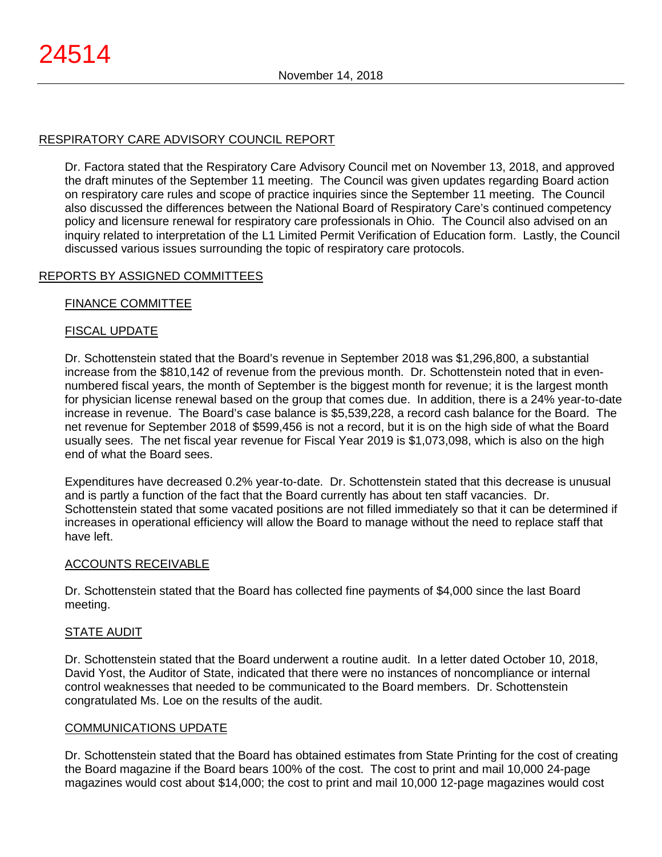# RESPIRATORY CARE ADVISORY COUNCIL REPORT

Dr. Factora stated that the Respiratory Care Advisory Council met on November 13, 2018, and approved the draft minutes of the September 11 meeting. The Council was given updates regarding Board action on respiratory care rules and scope of practice inquiries since the September 11 meeting. The Council also discussed the differences between the National Board of Respiratory Care's continued competency policy and licensure renewal for respiratory care professionals in Ohio. The Council also advised on an inquiry related to interpretation of the L1 Limited Permit Verification of Education form. Lastly, the Council discussed various issues surrounding the topic of respiratory care protocols.

# REPORTS BY ASSIGNED COMMITTEES

## FINANCE COMMITTEE

# FISCAL UPDATE

Dr. Schottenstein stated that the Board's revenue in September 2018 was \$1,296,800, a substantial increase from the \$810,142 of revenue from the previous month. Dr. Schottenstein noted that in evennumbered fiscal years, the month of September is the biggest month for revenue; it is the largest month for physician license renewal based on the group that comes due. In addition, there is a 24% year-to-date increase in revenue. The Board's case balance is \$5,539,228, a record cash balance for the Board. The net revenue for September 2018 of \$599,456 is not a record, but it is on the high side of what the Board usually sees. The net fiscal year revenue for Fiscal Year 2019 is \$1,073,098, which is also on the high end of what the Board sees.

Expenditures have decreased 0.2% year-to-date. Dr. Schottenstein stated that this decrease is unusual and is partly a function of the fact that the Board currently has about ten staff vacancies. Dr. Schottenstein stated that some vacated positions are not filled immediately so that it can be determined if increases in operational efficiency will allow the Board to manage without the need to replace staff that have left.

#### ACCOUNTS RECEIVABLE

Dr. Schottenstein stated that the Board has collected fine payments of \$4,000 since the last Board meeting.

#### STATE AUDIT

Dr. Schottenstein stated that the Board underwent a routine audit. In a letter dated October 10, 2018, David Yost, the Auditor of State, indicated that there were no instances of noncompliance or internal control weaknesses that needed to be communicated to the Board members. Dr. Schottenstein congratulated Ms. Loe on the results of the audit.

#### COMMUNICATIONS UPDATE

Dr. Schottenstein stated that the Board has obtained estimates from State Printing for the cost of creating the Board magazine if the Board bears 100% of the cost. The cost to print and mail 10,000 24-page magazines would cost about \$14,000; the cost to print and mail 10,000 12-page magazines would cost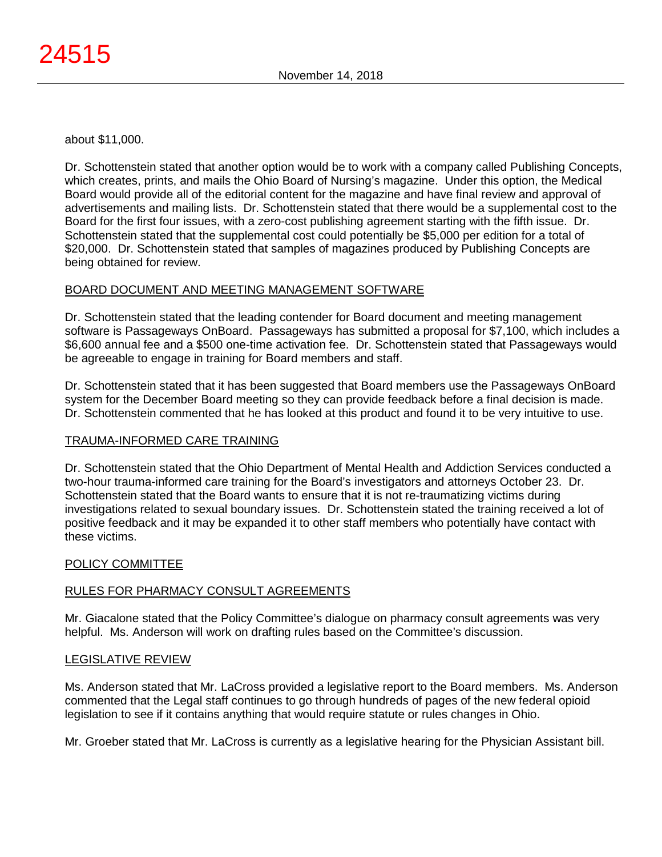about \$11,000.

Dr. Schottenstein stated that another option would be to work with a company called Publishing Concepts, which creates, prints, and mails the Ohio Board of Nursing's magazine. Under this option, the Medical Board would provide all of the editorial content for the magazine and have final review and approval of advertisements and mailing lists. Dr. Schottenstein stated that there would be a supplemental cost to the Board for the first four issues, with a zero-cost publishing agreement starting with the fifth issue. Dr. Schottenstein stated that the supplemental cost could potentially be \$5,000 per edition for a total of \$20,000. Dr. Schottenstein stated that samples of magazines produced by Publishing Concepts are being obtained for review.

# BOARD DOCUMENT AND MEETING MANAGEMENT SOFTWARE

Dr. Schottenstein stated that the leading contender for Board document and meeting management software is Passageways OnBoard. Passageways has submitted a proposal for \$7,100, which includes a \$6,600 annual fee and a \$500 one-time activation fee. Dr. Schottenstein stated that Passageways would be agreeable to engage in training for Board members and staff.

Dr. Schottenstein stated that it has been suggested that Board members use the Passageways OnBoard system for the December Board meeting so they can provide feedback before a final decision is made. Dr. Schottenstein commented that he has looked at this product and found it to be very intuitive to use.

# TRAUMA-INFORMED CARE TRAINING

Dr. Schottenstein stated that the Ohio Department of Mental Health and Addiction Services conducted a two-hour trauma-informed care training for the Board's investigators and attorneys October 23. Dr. Schottenstein stated that the Board wants to ensure that it is not re-traumatizing victims during investigations related to sexual boundary issues. Dr. Schottenstein stated the training received a lot of positive feedback and it may be expanded it to other staff members who potentially have contact with these victims.

#### POLICY COMMITTEE

# RULES FOR PHARMACY CONSULT AGREEMENTS

Mr. Giacalone stated that the Policy Committee's dialogue on pharmacy consult agreements was very helpful. Ms. Anderson will work on drafting rules based on the Committee's discussion.

#### LEGISLATIVE REVIEW

Ms. Anderson stated that Mr. LaCross provided a legislative report to the Board members. Ms. Anderson commented that the Legal staff continues to go through hundreds of pages of the new federal opioid legislation to see if it contains anything that would require statute or rules changes in Ohio.

Mr. Groeber stated that Mr. LaCross is currently as a legislative hearing for the Physician Assistant bill.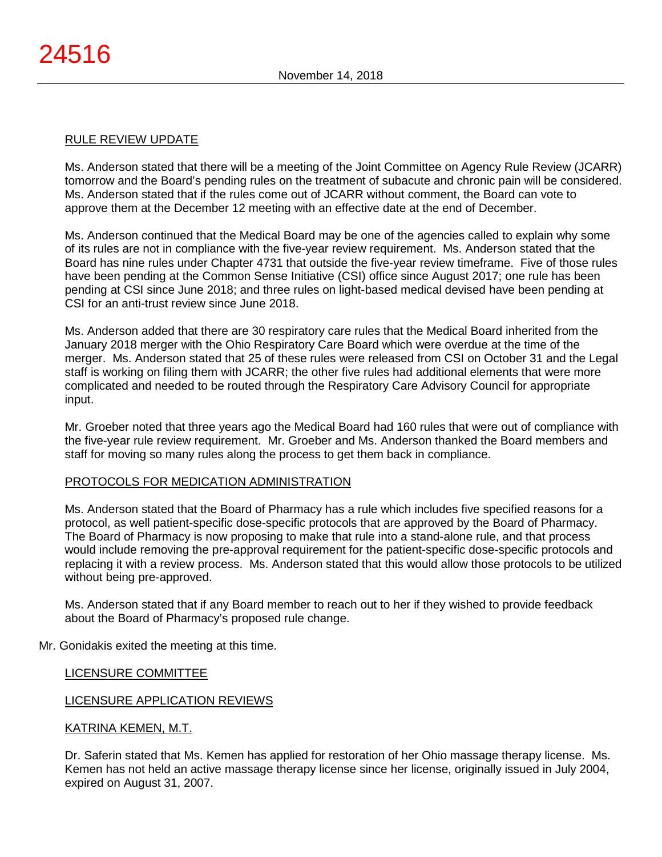## RULE REVIEW UPDATE

Ms. Anderson stated that there will be a meeting of the Joint Committee on Agency Rule Review (JCARR) tomorrow and the Board's pending rules on the treatment of subacute and chronic pain will be considered. Ms. Anderson stated that if the rules come out of JCARR without comment, the Board can vote to approve them at the December 12 meeting with an effective date at the end of December.

Ms. Anderson continued that the Medical Board may be one of the agencies called to explain why some of its rules are not in compliance with the five-year review requirement. Ms. Anderson stated that the Board has nine rules under Chapter 4731 that outside the five-year review timeframe. Five of those rules have been pending at the Common Sense Initiative (CSI) office since August 2017; one rule has been pending at CSI since June 2018; and three rules on light-based medical devised have been pending at CSI for an anti-trust review since June 2018.

Ms. Anderson added that there are 30 respiratory care rules that the Medical Board inherited from the January 2018 merger with the Ohio Respiratory Care Board which were overdue at the time of the merger. Ms. Anderson stated that 25 of these rules were released from CSI on October 31 and the Legal staff is working on filing them with JCARR; the other five rules had additional elements that were more complicated and needed to be routed through the Respiratory Care Advisory Council for appropriate input.

Mr. Groeber noted that three years ago the Medical Board had 160 rules that were out of compliance with the five-year rule review requirement. Mr. Groeber and Ms. Anderson thanked the Board members and staff for moving so many rules along the process to get them back in compliance.

# PROTOCOLS FOR MEDICATION ADMINISTRATION

Ms. Anderson stated that the Board of Pharmacy has a rule which includes five specified reasons for a protocol, as well patient-specific dose-specific protocols that are approved by the Board of Pharmacy. The Board of Pharmacy is now proposing to make that rule into a stand-alone rule, and that process would include removing the pre-approval requirement for the patient-specific dose-specific protocols and replacing it with a review process. Ms. Anderson stated that this would allow those protocols to be utilized without being pre-approved.

Ms. Anderson stated that if any Board member to reach out to her if they wished to provide feedback about the Board of Pharmacy's proposed rule change.

Mr. Gonidakis exited the meeting at this time.

# LICENSURE COMMITTEE

# LICENSURE APPLICATION REVIEWS

# KATRINA KEMEN, M.T.

Dr. Saferin stated that Ms. Kemen has applied for restoration of her Ohio massage therapy license. Ms. Kemen has not held an active massage therapy license since her license, originally issued in July 2004, expired on August 31, 2007.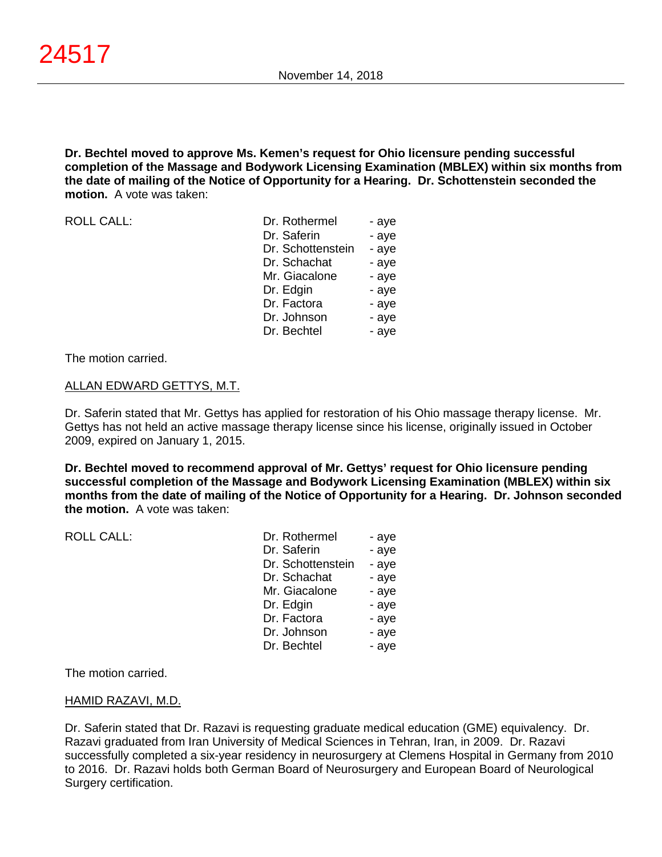## **Dr. Bechtel moved to approve Ms. Kemen's request for Ohio licensure pending successful completion of the Massage and Bodywork Licensing Examination (MBLEX) within six months from the date of mailing of the Notice of Opportunity for a Hearing. Dr. Schottenstein seconded the motion.** A vote was taken:

ROLL CALL:

| Dr. Rothermel     | - aye |
|-------------------|-------|
| Dr. Saferin       | - aye |
| Dr. Schottenstein | - aye |
| Dr. Schachat      | - aye |
| Mr. Giacalone     | - aye |
| Dr. Edgin         | - aye |
| Dr. Factora       | - aye |
| Dr. Johnson       | - aye |
| Dr. Bechtel       | - aye |

The motion carried.

## ALLAN EDWARD GETTYS, M.T.

Dr. Saferin stated that Mr. Gettys has applied for restoration of his Ohio massage therapy license. Mr. Gettys has not held an active massage therapy license since his license, originally issued in October 2009, expired on January 1, 2015.

**Dr. Bechtel moved to recommend approval of Mr. Gettys' request for Ohio licensure pending successful completion of the Massage and Bodywork Licensing Examination (MBLEX) within six months from the date of mailing of the Notice of Opportunity for a Hearing. Dr. Johnson seconded the motion.** A vote was taken:

| <b>ROLL CALL:</b> | Dr. Rothermel     | - aye |
|-------------------|-------------------|-------|
|                   | Dr. Saferin       | - aye |
|                   | Dr. Schottenstein | - aye |
|                   | Dr. Schachat      | - aye |
|                   | Mr. Giacalone     | - aye |
|                   | Dr. Edgin         | - aye |
|                   | Dr. Factora       | - aye |
|                   | Dr. Johnson       | - aye |
|                   | Dr. Bechtel       | - aye |
|                   |                   |       |

The motion carried.

# HAMID RAZAVI, M.D.

Dr. Saferin stated that Dr. Razavi is requesting graduate medical education (GME) equivalency. Dr. Razavi graduated from Iran University of Medical Sciences in Tehran, Iran, in 2009. Dr. Razavi successfully completed a six-year residency in neurosurgery at Clemens Hospital in Germany from 2010 to 2016. Dr. Razavi holds both German Board of Neurosurgery and European Board of Neurological Surgery certification.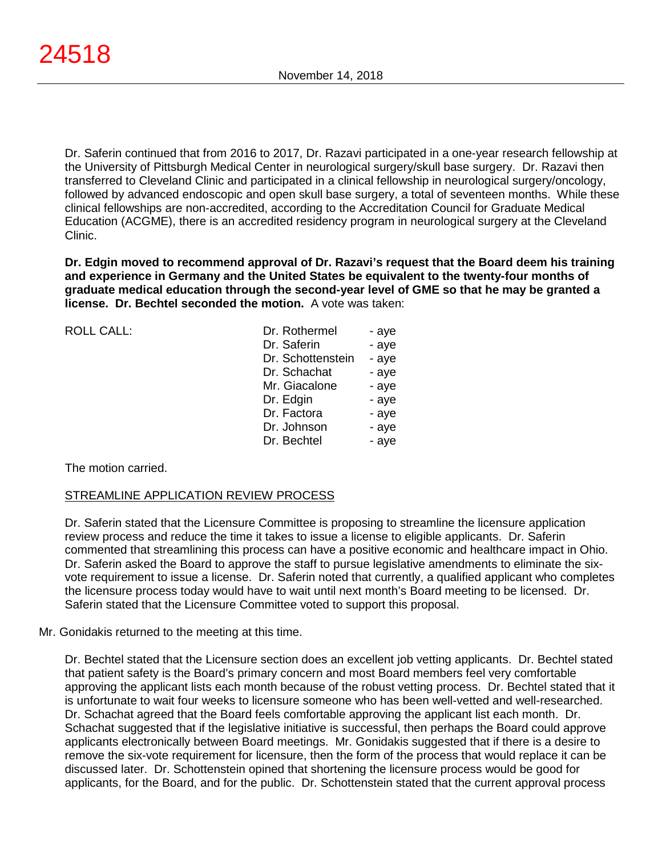Dr. Saferin continued that from 2016 to 2017, Dr. Razavi participated in a one-year research fellowship at the University of Pittsburgh Medical Center in neurological surgery/skull base surgery. Dr. Razavi then transferred to Cleveland Clinic and participated in a clinical fellowship in neurological surgery/oncology, followed by advanced endoscopic and open skull base surgery, a total of seventeen months. While these clinical fellowships are non-accredited, according to the Accreditation Council for Graduate Medical Education (ACGME), there is an accredited residency program in neurological surgery at the Cleveland Clinic.

**Dr. Edgin moved to recommend approval of Dr. Razavi's request that the Board deem his training and experience in Germany and the United States be equivalent to the twenty-four months of graduate medical education through the second-year level of GME so that he may be granted a license. Dr. Bechtel seconded the motion.** A vote was taken:

| Dr. Rothermel     | - aye |
|-------------------|-------|
| Dr. Saferin       | - aye |
| Dr. Schottenstein | - aye |
| Dr. Schachat      | - aye |
| Mr. Giacalone     | - aye |
| Dr. Edgin         | - aye |
| Dr. Factora       | - aye |
| Dr. Johnson       | - aye |
| Dr. Bechtel       | - aye |

The motion carried.

ROLL CALL:

# STREAMLINE APPLICATION REVIEW PROCESS

Dr. Saferin stated that the Licensure Committee is proposing to streamline the licensure application review process and reduce the time it takes to issue a license to eligible applicants. Dr. Saferin commented that streamlining this process can have a positive economic and healthcare impact in Ohio. Dr. Saferin asked the Board to approve the staff to pursue legislative amendments to eliminate the sixvote requirement to issue a license. Dr. Saferin noted that currently, a qualified applicant who completes the licensure process today would have to wait until next month's Board meeting to be licensed. Dr. Saferin stated that the Licensure Committee voted to support this proposal.

Mr. Gonidakis returned to the meeting at this time.

Dr. Bechtel stated that the Licensure section does an excellent job vetting applicants. Dr. Bechtel stated that patient safety is the Board's primary concern and most Board members feel very comfortable approving the applicant lists each month because of the robust vetting process. Dr. Bechtel stated that it is unfortunate to wait four weeks to licensure someone who has been well-vetted and well-researched. Dr. Schachat agreed that the Board feels comfortable approving the applicant list each month. Dr. Schachat suggested that if the legislative initiative is successful, then perhaps the Board could approve applicants electronically between Board meetings. Mr. Gonidakis suggested that if there is a desire to remove the six-vote requirement for licensure, then the form of the process that would replace it can be discussed later. Dr. Schottenstein opined that shortening the licensure process would be good for applicants, for the Board, and for the public. Dr. Schottenstein stated that the current approval process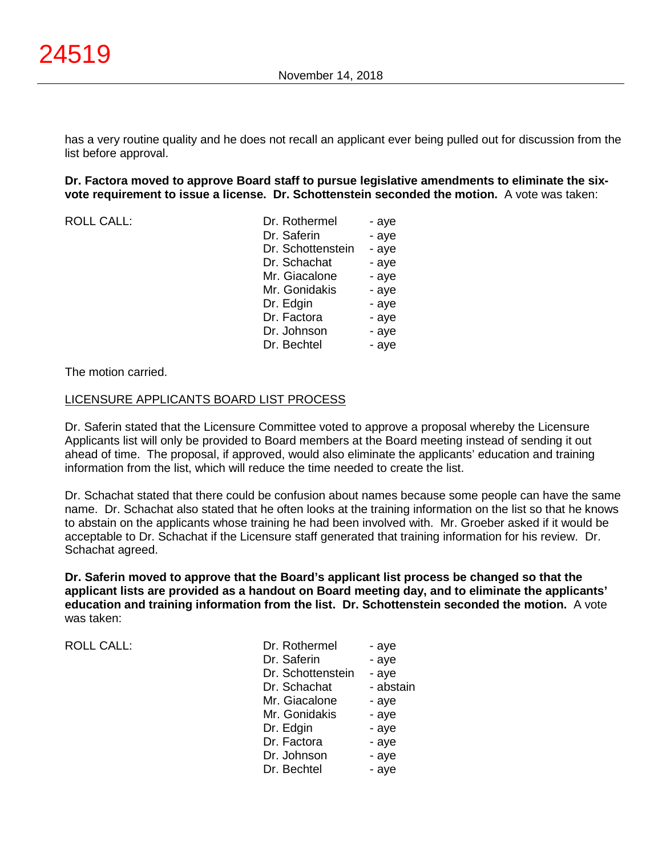has a very routine quality and he does not recall an applicant ever being pulled out for discussion from the list before approval.

#### **Dr. Factora moved to approve Board staff to pursue legislative amendments to eliminate the sixvote requirement to issue a license. Dr. Schottenstein seconded the motion.** A vote was taken:

ROLL CALL:

| - aye |
|-------|
| - aye |
| - aye |
| - aye |
| - aye |
| - aye |
| - aye |
| - aye |
| - aye |
| - aye |
|       |

The motion carried.

#### LICENSURE APPLICANTS BOARD LIST PROCESS

Dr. Saferin stated that the Licensure Committee voted to approve a proposal whereby the Licensure Applicants list will only be provided to Board members at the Board meeting instead of sending it out ahead of time. The proposal, if approved, would also eliminate the applicants' education and training information from the list, which will reduce the time needed to create the list.

Dr. Schachat stated that there could be confusion about names because some people can have the same name. Dr. Schachat also stated that he often looks at the training information on the list so that he knows to abstain on the applicants whose training he had been involved with. Mr. Groeber asked if it would be acceptable to Dr. Schachat if the Licensure staff generated that training information for his review. Dr. Schachat agreed.

**Dr. Saferin moved to approve that the Board's applicant list process be changed so that the applicant lists are provided as a handout on Board meeting day, and to eliminate the applicants' education and training information from the list. Dr. Schottenstein seconded the motion.** A vote was taken:

ROLL CALL:

| Dr. Rothermel     | - aye     |
|-------------------|-----------|
| Dr. Saferin       | - aye     |
| Dr. Schottenstein | - aye     |
| Dr. Schachat      | - abstain |
| Mr. Giacalone     | - aye     |
| Mr. Gonidakis     | - aye     |
| Dr. Edgin         | - aye     |
| Dr. Factora       | - aye     |
| Dr. Johnson       | - aye     |
| Dr. Bechtel       | - aye     |
|                   |           |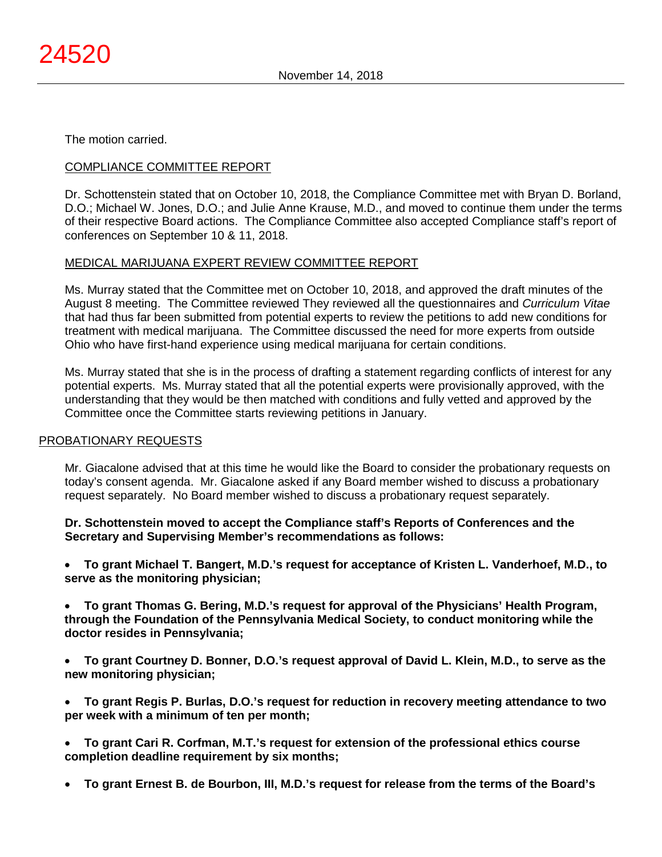The motion carried.

# COMPLIANCE COMMITTEE REPORT

Dr. Schottenstein stated that on October 10, 2018, the Compliance Committee met with Bryan D. Borland, D.O.; Michael W. Jones, D.O.; and Julie Anne Krause, M.D., and moved to continue them under the terms of their respective Board actions. The Compliance Committee also accepted Compliance staff's report of conferences on September 10 & 11, 2018.

## MEDICAL MARIJUANA EXPERT REVIEW COMMITTEE REPORT

Ms. Murray stated that the Committee met on October 10, 2018, and approved the draft minutes of the August 8 meeting. The Committee reviewed They reviewed all the questionnaires and *Curriculum Vitae* that had thus far been submitted from potential experts to review the petitions to add new conditions for treatment with medical marijuana. The Committee discussed the need for more experts from outside Ohio who have first-hand experience using medical marijuana for certain conditions.

Ms. Murray stated that she is in the process of drafting a statement regarding conflicts of interest for any potential experts. Ms. Murray stated that all the potential experts were provisionally approved, with the understanding that they would be then matched with conditions and fully vetted and approved by the Committee once the Committee starts reviewing petitions in January.

#### PROBATIONARY REQUESTS

Mr. Giacalone advised that at this time he would like the Board to consider the probationary requests on today's consent agenda. Mr. Giacalone asked if any Board member wished to discuss a probationary request separately. No Board member wished to discuss a probationary request separately.

**Dr. Schottenstein moved to accept the Compliance staff's Reports of Conferences and the Secretary and Supervising Member's recommendations as follows:**

• **To grant Michael T. Bangert, M.D.'s request for acceptance of Kristen L. Vanderhoef, M.D., to serve as the monitoring physician;**

• **To grant Thomas G. Bering, M.D.'s request for approval of the Physicians' Health Program, through the Foundation of the Pennsylvania Medical Society, to conduct monitoring while the doctor resides in Pennsylvania;**

• **To grant Courtney D. Bonner, D.O.'s request approval of David L. Klein, M.D., to serve as the new monitoring physician;**

• **To grant Regis P. Burlas, D.O.'s request for reduction in recovery meeting attendance to two per week with a minimum of ten per month;**

- **To grant Cari R. Corfman, M.T.'s request for extension of the professional ethics course completion deadline requirement by six months;**
- **To grant Ernest B. de Bourbon, III, M.D.'s request for release from the terms of the Board's**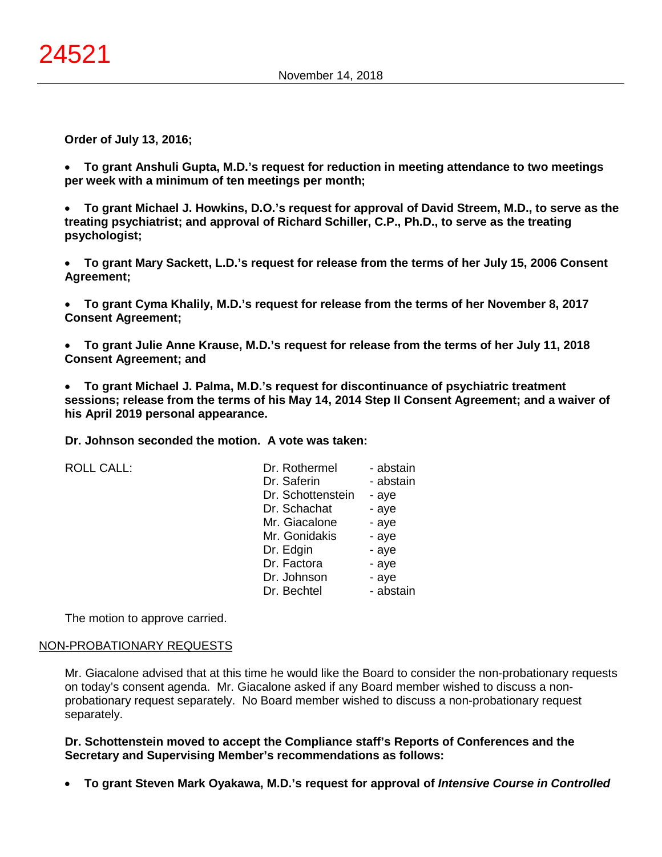**Order of July 13, 2016;**

• **To grant Anshuli Gupta, M.D.'s request for reduction in meeting attendance to two meetings per week with a minimum of ten meetings per month;**

• **To grant Michael J. Howkins, D.O.'s request for approval of David Streem, M.D., to serve as the treating psychiatrist; and approval of Richard Schiller, C.P., Ph.D., to serve as the treating psychologist;**

• **To grant Mary Sackett, L.D.'s request for release from the terms of her July 15, 2006 Consent Agreement;**

• **To grant Cyma Khalily, M.D.'s request for release from the terms of her November 8, 2017 Consent Agreement;**

• **To grant Julie Anne Krause, M.D.'s request for release from the terms of her July 11, 2018 Consent Agreement; and**

• **To grant Michael J. Palma, M.D.'s request for discontinuance of psychiatric treatment sessions; release from the terms of his May 14, 2014 Step II Consent Agreement; and a waiver of his April 2019 personal appearance.**

**Dr. Johnson seconded the motion. A vote was taken:**

ROLL CALL:

| Dr. Rothermel     | - abstain |
|-------------------|-----------|
| Dr. Saferin       | - abstain |
| Dr. Schottenstein | - aye     |
| Dr. Schachat      | - aye     |
| Mr. Giacalone     | - aye     |
| Mr. Gonidakis     | - aye     |
| Dr. Edgin         | - aye     |
| Dr. Factora       | - aye     |
| Dr. Johnson       | - aye     |
| Dr. Bechtel       | - abstain |

The motion to approve carried.

#### NON-PROBATIONARY REQUESTS

Mr. Giacalone advised that at this time he would like the Board to consider the non-probationary requests on today's consent agenda. Mr. Giacalone asked if any Board member wished to discuss a nonprobationary request separately. No Board member wished to discuss a non-probationary request separately.

**Dr. Schottenstein moved to accept the Compliance staff's Reports of Conferences and the Secretary and Supervising Member's recommendations as follows:**

• **To grant Steven Mark Oyakawa, M.D.'s request for approval of** *Intensive Course in Controlled*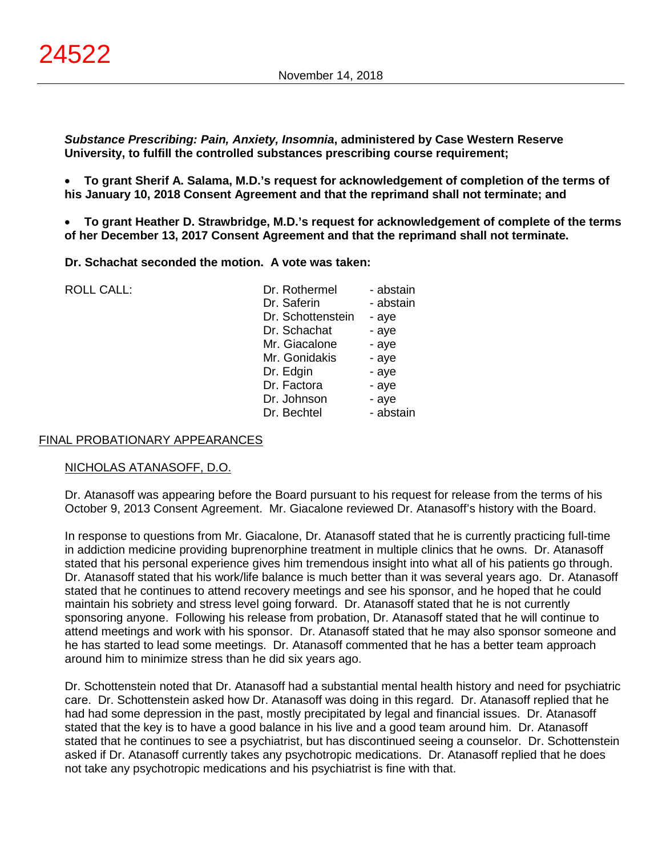*Substance Prescribing: Pain, Anxiety, Insomnia***, administered by Case Western Reserve University, to fulfill the controlled substances prescribing course requirement;**

• **To grant Sherif A. Salama, M.D.'s request for acknowledgement of completion of the terms of his January 10, 2018 Consent Agreement and that the reprimand shall not terminate; and**

• **To grant Heather D. Strawbridge, M.D.'s request for acknowledgement of complete of the terms of her December 13, 2017 Consent Agreement and that the reprimand shall not terminate.**

**Dr. Schachat seconded the motion. A vote was taken:**

ROLL CALL:

| Dr. Rothermel     | - abstain |
|-------------------|-----------|
| Dr. Saferin       | - abstain |
| Dr. Schottenstein | - aye     |
| Dr. Schachat      | - aye     |
| Mr. Giacalone     | - aye     |
| Mr. Gonidakis     | - aye     |
| Dr. Edgin         | - aye     |
| Dr. Factora       | - aye     |
| Dr. Johnson       | - aye     |
| Dr. Bechtel       | - abstain |
|                   |           |

#### FINAL PROBATIONARY APPEARANCES

#### NICHOLAS ATANASOFF, D.O.

Dr. Atanasoff was appearing before the Board pursuant to his request for release from the terms of his October 9, 2013 Consent Agreement. Mr. Giacalone reviewed Dr. Atanasoff's history with the Board.

In response to questions from Mr. Giacalone, Dr. Atanasoff stated that he is currently practicing full-time in addiction medicine providing buprenorphine treatment in multiple clinics that he owns. Dr. Atanasoff stated that his personal experience gives him tremendous insight into what all of his patients go through. Dr. Atanasoff stated that his work/life balance is much better than it was several years ago. Dr. Atanasoff stated that he continues to attend recovery meetings and see his sponsor, and he hoped that he could maintain his sobriety and stress level going forward. Dr. Atanasoff stated that he is not currently sponsoring anyone. Following his release from probation, Dr. Atanasoff stated that he will continue to attend meetings and work with his sponsor. Dr. Atanasoff stated that he may also sponsor someone and he has started to lead some meetings. Dr. Atanasoff commented that he has a better team approach around him to minimize stress than he did six years ago.

Dr. Schottenstein noted that Dr. Atanasoff had a substantial mental health history and need for psychiatric care. Dr. Schottenstein asked how Dr. Atanasoff was doing in this regard. Dr. Atanasoff replied that he had had some depression in the past, mostly precipitated by legal and financial issues. Dr. Atanasoff stated that the key is to have a good balance in his live and a good team around him. Dr. Atanasoff stated that he continues to see a psychiatrist, but has discontinued seeing a counselor. Dr. Schottenstein asked if Dr. Atanasoff currently takes any psychotropic medications. Dr. Atanasoff replied that he does not take any psychotropic medications and his psychiatrist is fine with that.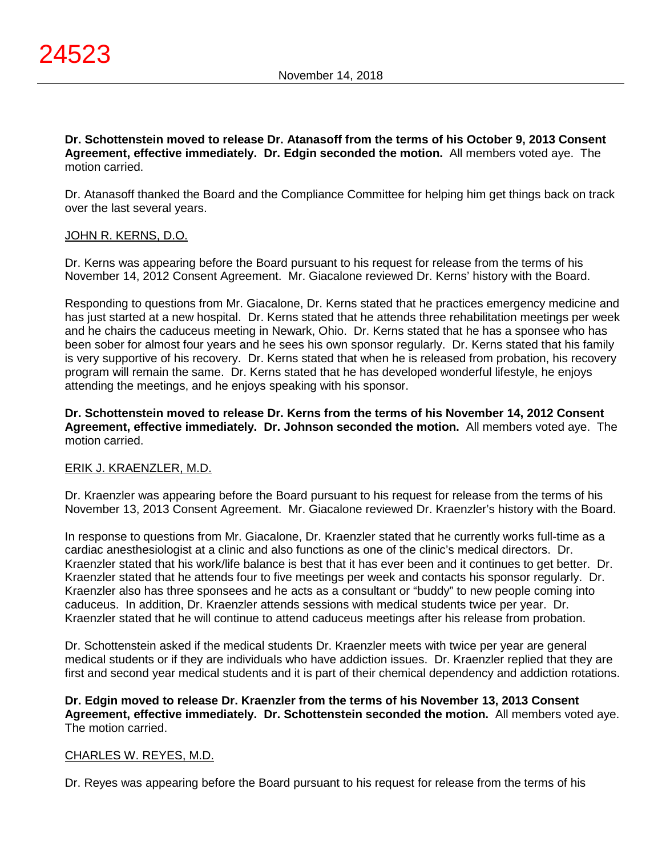**Dr. Schottenstein moved to release Dr. Atanasoff from the terms of his October 9, 2013 Consent Agreement, effective immediately. Dr. Edgin seconded the motion.** All members voted aye. The motion carried.

Dr. Atanasoff thanked the Board and the Compliance Committee for helping him get things back on track over the last several years.

# JOHN R. KERNS, D.O.

Dr. Kerns was appearing before the Board pursuant to his request for release from the terms of his November 14, 2012 Consent Agreement. Mr. Giacalone reviewed Dr. Kerns' history with the Board.

Responding to questions from Mr. Giacalone, Dr. Kerns stated that he practices emergency medicine and has just started at a new hospital. Dr. Kerns stated that he attends three rehabilitation meetings per week and he chairs the caduceus meeting in Newark, Ohio. Dr. Kerns stated that he has a sponsee who has been sober for almost four years and he sees his own sponsor regularly. Dr. Kerns stated that his family is very supportive of his recovery. Dr. Kerns stated that when he is released from probation, his recovery program will remain the same. Dr. Kerns stated that he has developed wonderful lifestyle, he enjoys attending the meetings, and he enjoys speaking with his sponsor.

**Dr. Schottenstein moved to release Dr. Kerns from the terms of his November 14, 2012 Consent Agreement, effective immediately. Dr. Johnson seconded the motion.** All members voted aye. The motion carried.

# ERIK J. KRAENZLER, M.D.

Dr. Kraenzler was appearing before the Board pursuant to his request for release from the terms of his November 13, 2013 Consent Agreement. Mr. Giacalone reviewed Dr. Kraenzler's history with the Board.

In response to questions from Mr. Giacalone, Dr. Kraenzler stated that he currently works full-time as a cardiac anesthesiologist at a clinic and also functions as one of the clinic's medical directors. Dr. Kraenzler stated that his work/life balance is best that it has ever been and it continues to get better. Dr. Kraenzler stated that he attends four to five meetings per week and contacts his sponsor regularly. Dr. Kraenzler also has three sponsees and he acts as a consultant or "buddy" to new people coming into caduceus. In addition, Dr. Kraenzler attends sessions with medical students twice per year. Dr. Kraenzler stated that he will continue to attend caduceus meetings after his release from probation.

Dr. Schottenstein asked if the medical students Dr. Kraenzler meets with twice per year are general medical students or if they are individuals who have addiction issues. Dr. Kraenzler replied that they are first and second year medical students and it is part of their chemical dependency and addiction rotations.

**Dr. Edgin moved to release Dr. Kraenzler from the terms of his November 13, 2013 Consent Agreement, effective immediately. Dr. Schottenstein seconded the motion.** All members voted aye. The motion carried.

#### CHARLES W. REYES, M.D.

Dr. Reyes was appearing before the Board pursuant to his request for release from the terms of his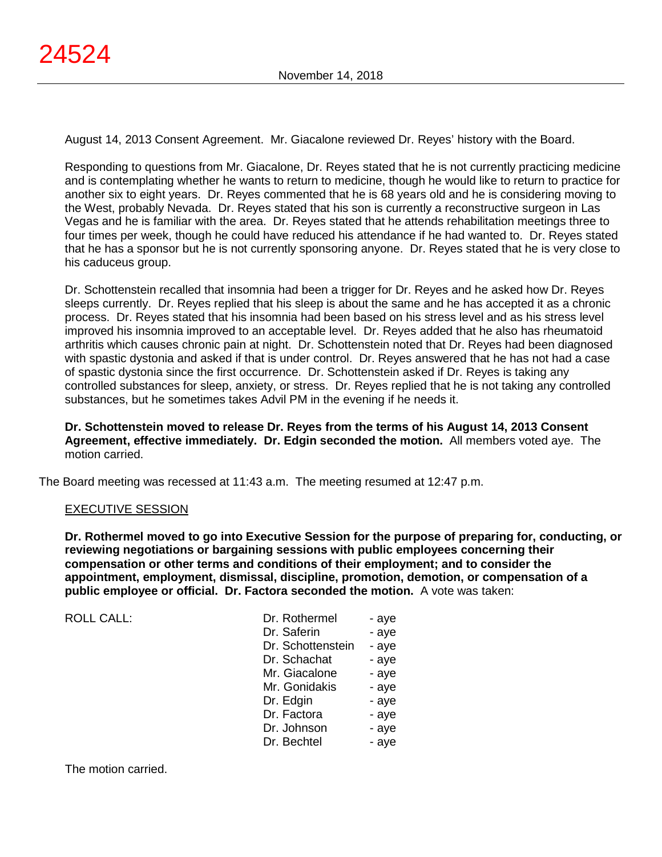August 14, 2013 Consent Agreement. Mr. Giacalone reviewed Dr. Reyes' history with the Board.

Responding to questions from Mr. Giacalone, Dr. Reyes stated that he is not currently practicing medicine and is contemplating whether he wants to return to medicine, though he would like to return to practice for another six to eight years. Dr. Reyes commented that he is 68 years old and he is considering moving to the West, probably Nevada. Dr. Reyes stated that his son is currently a reconstructive surgeon in Las Vegas and he is familiar with the area. Dr. Reyes stated that he attends rehabilitation meetings three to four times per week, though he could have reduced his attendance if he had wanted to. Dr. Reyes stated that he has a sponsor but he is not currently sponsoring anyone. Dr. Reyes stated that he is very close to his caduceus group.

Dr. Schottenstein recalled that insomnia had been a trigger for Dr. Reyes and he asked how Dr. Reyes sleeps currently. Dr. Reyes replied that his sleep is about the same and he has accepted it as a chronic process. Dr. Reyes stated that his insomnia had been based on his stress level and as his stress level improved his insomnia improved to an acceptable level. Dr. Reyes added that he also has rheumatoid arthritis which causes chronic pain at night. Dr. Schottenstein noted that Dr. Reyes had been diagnosed with spastic dystonia and asked if that is under control. Dr. Reyes answered that he has not had a case of spastic dystonia since the first occurrence. Dr. Schottenstein asked if Dr. Reyes is taking any controlled substances for sleep, anxiety, or stress. Dr. Reyes replied that he is not taking any controlled substances, but he sometimes takes Advil PM in the evening if he needs it.

**Dr. Schottenstein moved to release Dr. Reyes from the terms of his August 14, 2013 Consent Agreement, effective immediately. Dr. Edgin seconded the motion.** All members voted aye. The motion carried.

The Board meeting was recessed at 11:43 a.m. The meeting resumed at 12:47 p.m.

# EXECUTIVE SESSION

**Dr. Rothermel moved to go into Executive Session for the purpose of preparing for, conducting, or reviewing negotiations or bargaining sessions with public employees concerning their compensation or other terms and conditions of their employment; and to consider the appointment, employment, dismissal, discipline, promotion, demotion, or compensation of a public employee or official. Dr. Factora seconded the motion.** A vote was taken:

| <b>ROLL CALL:</b> | Dr. Rothermel     | - aye |
|-------------------|-------------------|-------|
|                   | Dr. Saferin       | - aye |
|                   | Dr. Schottenstein | - aye |
|                   | Dr. Schachat      | - aye |
|                   | Mr. Giacalone     | - aye |
|                   | Mr. Gonidakis     | - aye |
|                   | Dr. Edgin         | - aye |
|                   | Dr. Factora       | - aye |
|                   | Dr. Johnson       | - aye |
|                   | Dr. Bechtel       | - aye |
|                   |                   |       |

The motion carried.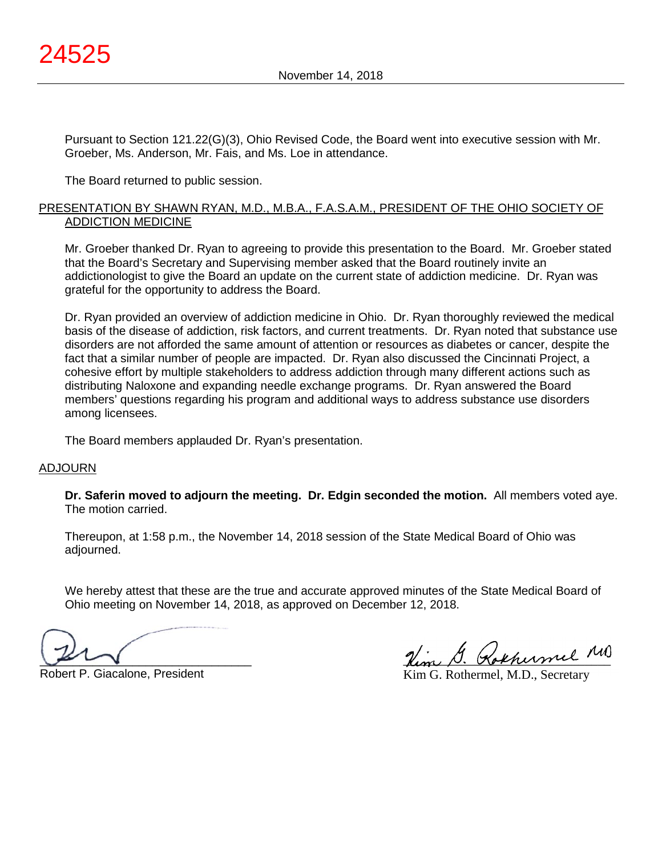Pursuant to Section 121.22(G)(3), Ohio Revised Code, the Board went into executive session with Mr. Groeber, Ms. Anderson, Mr. Fais, and Ms. Loe in attendance.

The Board returned to public session.

#### PRESENTATION BY SHAWN RYAN, M.D., M.B.A., F.A.S.A.M., PRESIDENT OF THE OHIO SOCIETY OF ADDICTION MEDICINE

Mr. Groeber thanked Dr. Ryan to agreeing to provide this presentation to the Board. Mr. Groeber stated that the Board's Secretary and Supervising member asked that the Board routinely invite an addictionologist to give the Board an update on the current state of addiction medicine. Dr. Ryan was grateful for the opportunity to address the Board.

Dr. Ryan provided an overview of addiction medicine in Ohio. Dr. Ryan thoroughly reviewed the medical basis of the disease of addiction, risk factors, and current treatments. Dr. Ryan noted that substance use disorders are not afforded the same amount of attention or resources as diabetes or cancer, despite the fact that a similar number of people are impacted. Dr. Ryan also discussed the Cincinnati Project, a cohesive effort by multiple stakeholders to address addiction through many different actions such as distributing Naloxone and expanding needle exchange programs. Dr. Ryan answered the Board members' questions regarding his program and additional ways to address substance use disorders among licensees.

The Board members applauded Dr. Ryan's presentation.

#### ADJOURN

**Dr. Saferin moved to adjourn the meeting. Dr. Edgin seconded the motion.** All members voted aye. The motion carried.

Thereupon, at 1:58 p.m., the November 14, 2018 session of the State Medical Board of Ohio was adjourned.

We hereby attest that these are the true and accurate approved minutes of the State Medical Board of Ohio meeting on November 14, 2018, as approved on December 12, 2018.

 $\sim$ 

Robert P. Giacalone, President

Nim G. Rokhumel MD

Kim G. Rothermel, M.D., Secretary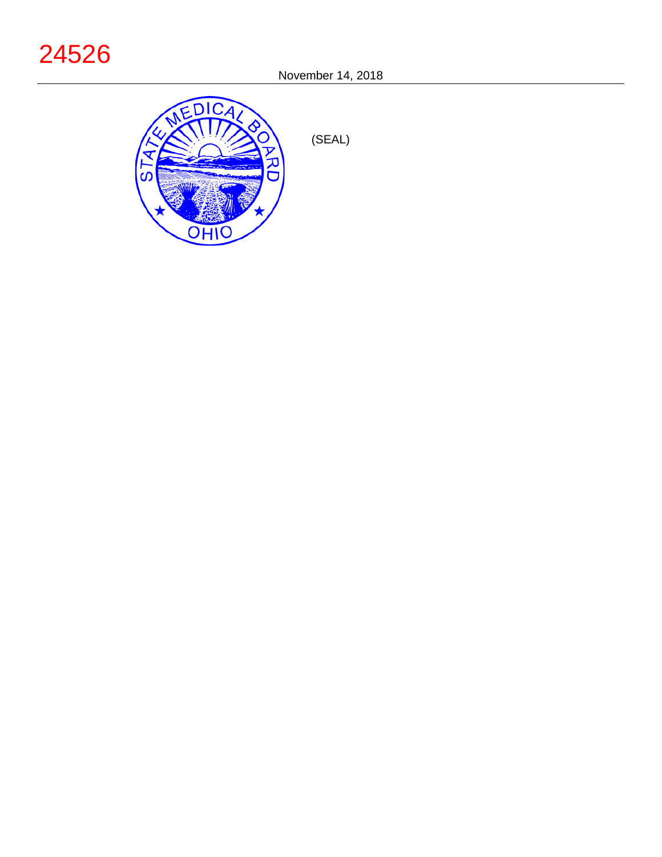# 24526



(SEAL)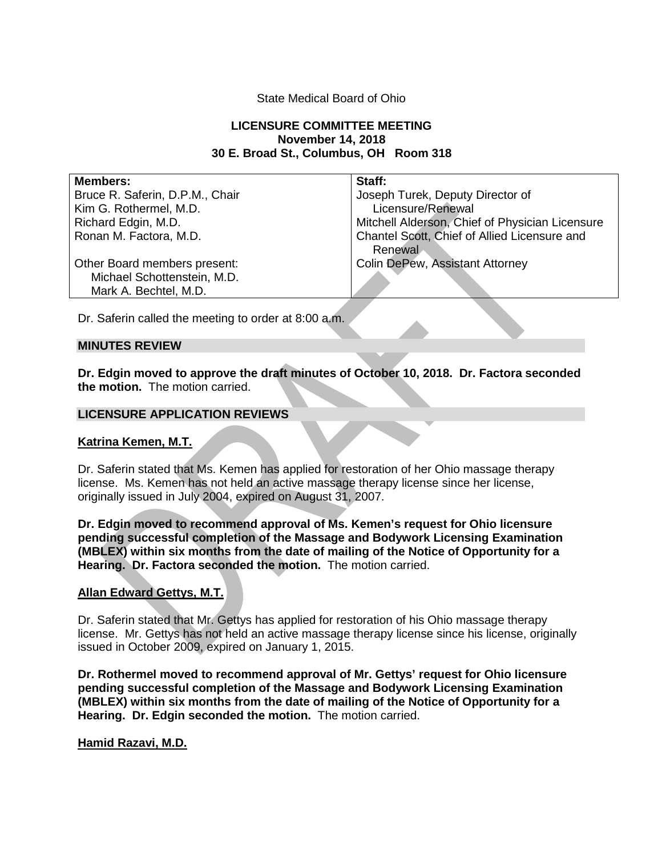#### State Medical Board of Ohio

## **LICENSURE COMMITTEE MEETING November 14, 2018 30 E. Broad St., Columbus, OH Room 318**

| <b>Members:</b>                 | Staff:                                          |
|---------------------------------|-------------------------------------------------|
| Bruce R. Saferin, D.P.M., Chair | Joseph Turek, Deputy Director of                |
| Kim G. Rothermel, M.D.          | Licensure/Renewal                               |
| Richard Edgin, M.D.             | Mitchell Alderson, Chief of Physician Licensure |
| Ronan M. Factora, M.D.          | Chantel Scott, Chief of Allied Licensure and    |
|                                 | Renewal                                         |
| Other Board members present:    | <b>Colin DePew, Assistant Attorney</b>          |
| Michael Schottenstein, M.D.     |                                                 |
| Mark A. Bechtel, M.D.           |                                                 |

Dr. Saferin called the meeting to order at 8:00 a.m.

#### **MINUTES REVIEW**

**Dr. Edgin moved to approve the draft minutes of October 10, 2018. Dr. Factora seconded the motion.** The motion carried.

#### **LICENSURE APPLICATION REVIEWS**

#### **Katrina Kemen, M.T.**

Dr. Saferin stated that Ms. Kemen has applied for restoration of her Ohio massage therapy license. Ms. Kemen has not held an active massage therapy license since her license, originally issued in July 2004, expired on August 31, 2007.

**Dr. Edgin moved to recommend approval of Ms. Kemen's request for Ohio licensure pending successful completion of the Massage and Bodywork Licensing Examination (MBLEX) within six months from the date of mailing of the Notice of Opportunity for a Hearing. Dr. Factora seconded the motion.** The motion carried.

#### **Allan Edward Gettys, M.T.**

Dr. Saferin stated that Mr. Gettys has applied for restoration of his Ohio massage therapy license. Mr. Gettys has not held an active massage therapy license since his license, originally issued in October 2009, expired on January 1, 2015.

**Dr. Rothermel moved to recommend approval of Mr. Gettys' request for Ohio licensure pending successful completion of the Massage and Bodywork Licensing Examination (MBLEX) within six months from the date of mailing of the Notice of Opportunity for a Hearing. Dr. Edgin seconded the motion.** The motion carried.

#### **Hamid Razavi, M.D.**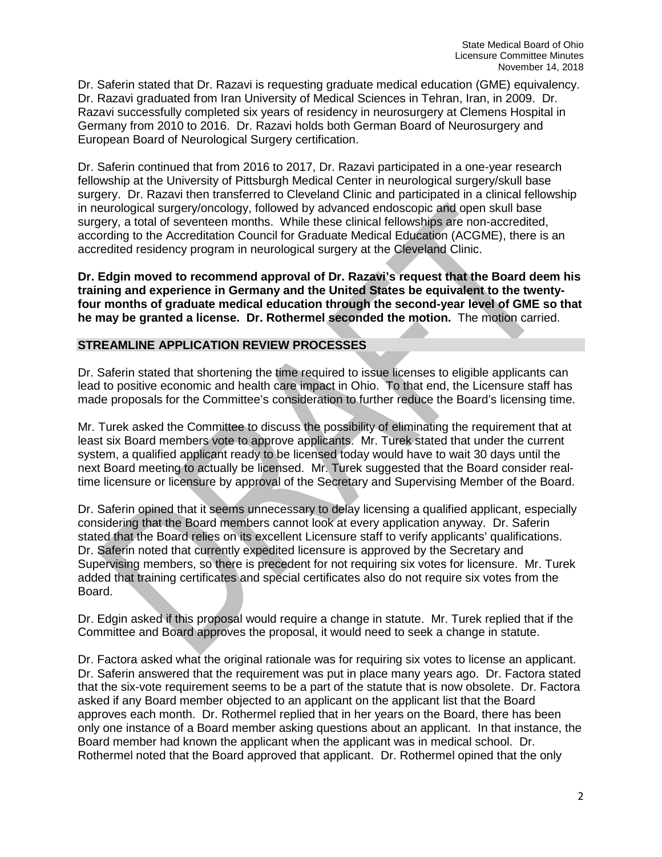Dr. Saferin stated that Dr. Razavi is requesting graduate medical education (GME) equivalency. Dr. Razavi graduated from Iran University of Medical Sciences in Tehran, Iran, in 2009. Dr. Razavi successfully completed six years of residency in neurosurgery at Clemens Hospital in Germany from 2010 to 2016. Dr. Razavi holds both German Board of Neurosurgery and European Board of Neurological Surgery certification.

Dr. Saferin continued that from 2016 to 2017, Dr. Razavi participated in a one-year research fellowship at the University of Pittsburgh Medical Center in neurological surgery/skull base surgery. Dr. Razavi then transferred to Cleveland Clinic and participated in a clinical fellowship in neurological surgery/oncology, followed by advanced endoscopic and open skull base surgery, a total of seventeen months. While these clinical fellowships are non-accredited, according to the Accreditation Council for Graduate Medical Education (ACGME), there is an accredited residency program in neurological surgery at the Cleveland Clinic.

**Dr. Edgin moved to recommend approval of Dr. Razavi's request that the Board deem his training and experience in Germany and the United States be equivalent to the twentyfour months of graduate medical education through the second-year level of GME so that he may be granted a license. Dr. Rothermel seconded the motion.** The motion carried.

# **STREAMLINE APPLICATION REVIEW PROCESSES**

Dr. Saferin stated that shortening the time required to issue licenses to eligible applicants can lead to positive economic and health care impact in Ohio. To that end, the Licensure staff has made proposals for the Committee's consideration to further reduce the Board's licensing time.

Mr. Turek asked the Committee to discuss the possibility of eliminating the requirement that at least six Board members vote to approve applicants. Mr. Turek stated that under the current system, a qualified applicant ready to be licensed today would have to wait 30 days until the next Board meeting to actually be licensed. Mr. Turek suggested that the Board consider realtime licensure or licensure by approval of the Secretary and Supervising Member of the Board.

Dr. Saferin opined that it seems unnecessary to delay licensing a qualified applicant, especially considering that the Board members cannot look at every application anyway. Dr. Saferin stated that the Board relies on its excellent Licensure staff to verify applicants' qualifications. Dr. Saferin noted that currently expedited licensure is approved by the Secretary and Supervising members, so there is precedent for not requiring six votes for licensure. Mr. Turek added that training certificates and special certificates also do not require six votes from the Board.

Dr. Edgin asked if this proposal would require a change in statute. Mr. Turek replied that if the Committee and Board approves the proposal, it would need to seek a change in statute.

Dr. Factora asked what the original rationale was for requiring six votes to license an applicant. Dr. Saferin answered that the requirement was put in place many years ago. Dr. Factora stated that the six-vote requirement seems to be a part of the statute that is now obsolete. Dr. Factora asked if any Board member objected to an applicant on the applicant list that the Board approves each month. Dr. Rothermel replied that in her years on the Board, there has been only one instance of a Board member asking questions about an applicant. In that instance, the Board member had known the applicant when the applicant was in medical school. Dr. Rothermel noted that the Board approved that applicant. Dr. Rothermel opined that the only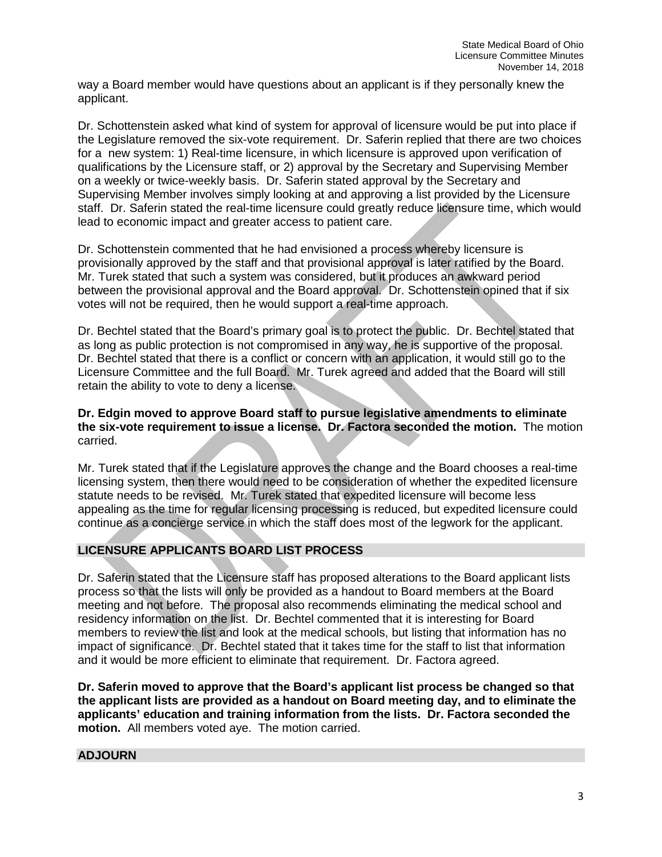way a Board member would have questions about an applicant is if they personally knew the applicant.

Dr. Schottenstein asked what kind of system for approval of licensure would be put into place if the Legislature removed the six-vote requirement. Dr. Saferin replied that there are two choices for a new system: 1) Real-time licensure, in which licensure is approved upon verification of qualifications by the Licensure staff, or 2) approval by the Secretary and Supervising Member on a weekly or twice-weekly basis. Dr. Saferin stated approval by the Secretary and Supervising Member involves simply looking at and approving a list provided by the Licensure staff. Dr. Saferin stated the real-time licensure could greatly reduce licensure time, which would lead to economic impact and greater access to patient care.

Dr. Schottenstein commented that he had envisioned a process whereby licensure is provisionally approved by the staff and that provisional approval is later ratified by the Board. Mr. Turek stated that such a system was considered, but it produces an awkward period between the provisional approval and the Board approval. Dr. Schottenstein opined that if six votes will not be required, then he would support a real-time approach.

Dr. Bechtel stated that the Board's primary goal is to protect the public. Dr. Bechtel stated that as long as public protection is not compromised in any way, he is supportive of the proposal. Dr. Bechtel stated that there is a conflict or concern with an application, it would still go to the Licensure Committee and the full Board. Mr. Turek agreed and added that the Board will still retain the ability to vote to deny a license.

# **Dr. Edgin moved to approve Board staff to pursue legislative amendments to eliminate the six-vote requirement to issue a license. Dr. Factora seconded the motion.** The motion carried.

Mr. Turek stated that if the Legislature approves the change and the Board chooses a real-time licensing system, then there would need to be consideration of whether the expedited licensure statute needs to be revised. Mr. Turek stated that expedited licensure will become less appealing as the time for regular licensing processing is reduced, but expedited licensure could continue as a concierge service in which the staff does most of the legwork for the applicant.

# **LICENSURE APPLICANTS BOARD LIST PROCESS**

Dr. Saferin stated that the Licensure staff has proposed alterations to the Board applicant lists process so that the lists will only be provided as a handout to Board members at the Board meeting and not before. The proposal also recommends eliminating the medical school and residency information on the list. Dr. Bechtel commented that it is interesting for Board members to review the list and look at the medical schools, but listing that information has no impact of significance. Dr. Bechtel stated that it takes time for the staff to list that information and it would be more efficient to eliminate that requirement. Dr. Factora agreed.

**Dr. Saferin moved to approve that the Board's applicant list process be changed so that the applicant lists are provided as a handout on Board meeting day, and to eliminate the applicants' education and training information from the lists. Dr. Factora seconded the motion.** All members voted aye. The motion carried.

# **ADJOURN**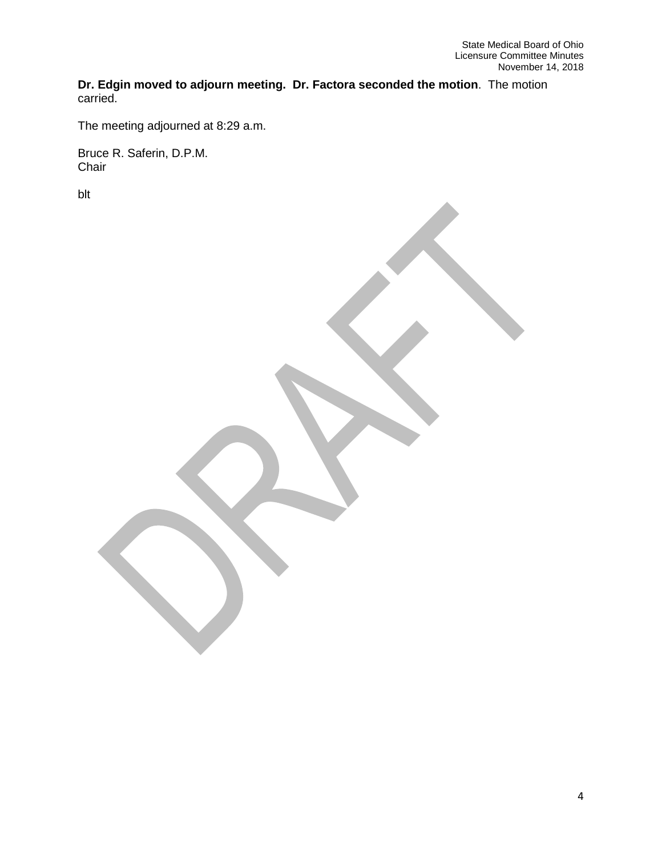**Dr. Edgin moved to adjourn meeting. Dr. Factora seconded the motion**. The motion carried.

The meeting adjourned at 8:29 a.m.

Bruce R. Saferin, D.P.M. Chair

blt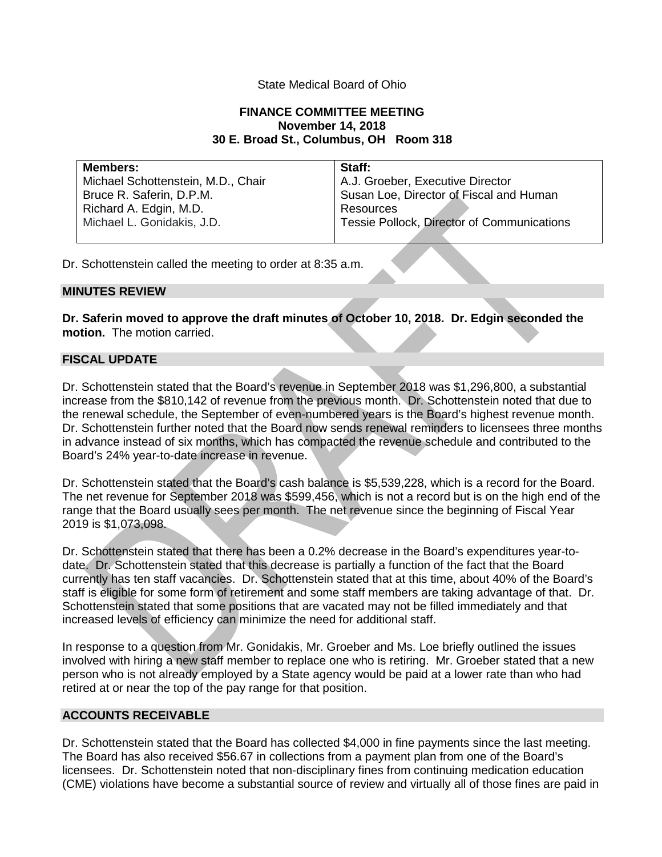# State Medical Board of Ohio

## **FINANCE COMMITTEE MEETING November 14, 2018 30 E. Broad St., Columbus, OH Room 318**

| <b>Members:</b>                    | Staff:                                     |
|------------------------------------|--------------------------------------------|
| Michael Schottenstein, M.D., Chair | A.J. Groeber, Executive Director           |
| Bruce R. Saferin, D.P.M.           | Susan Loe, Director of Fiscal and Human    |
| Richard A. Edgin, M.D.             | Resources                                  |
| Michael L. Gonidakis, J.D.         | Tessie Pollock, Director of Communications |
|                                    |                                            |

Dr. Schottenstein called the meeting to order at 8:35 a.m.

#### **MINUTES REVIEW**

**Dr. Saferin moved to approve the draft minutes of October 10, 2018. Dr. Edgin seconded the motion.** The motion carried.

## **FISCAL UPDATE**

Dr. Schottenstein stated that the Board's revenue in September 2018 was \$1,296,800, a substantial increase from the \$810,142 of revenue from the previous month. Dr. Schottenstein noted that due to the renewal schedule, the September of even-numbered years is the Board's highest revenue month. Dr. Schottenstein further noted that the Board now sends renewal reminders to licensees three months in advance instead of six months, which has compacted the revenue schedule and contributed to the Board's 24% year-to-date increase in revenue.

Dr. Schottenstein stated that the Board's cash balance is \$5,539,228, which is a record for the Board. The net revenue for September 2018 was \$599,456, which is not a record but is on the high end of the range that the Board usually sees per month. The net revenue since the beginning of Fiscal Year 2019 is \$1,073,098.

Dr. Schottenstein stated that there has been a 0.2% decrease in the Board's expenditures year-todate. Dr. Schottenstein stated that this decrease is partially a function of the fact that the Board currently has ten staff vacancies. Dr. Schottenstein stated that at this time, about 40% of the Board's staff is eligible for some form of retirement and some staff members are taking advantage of that. Dr. Schottenstein stated that some positions that are vacated may not be filled immediately and that increased levels of efficiency can minimize the need for additional staff.

In response to a question from Mr. Gonidakis, Mr. Groeber and Ms. Loe briefly outlined the issues involved with hiring a new staff member to replace one who is retiring. Mr. Groeber stated that a new person who is not already employed by a State agency would be paid at a lower rate than who had retired at or near the top of the pay range for that position.

#### **ACCOUNTS RECEIVABLE**

Dr. Schottenstein stated that the Board has collected \$4,000 in fine payments since the last meeting. The Board has also received \$56.67 in collections from a payment plan from one of the Board's licensees. Dr. Schottenstein noted that non-disciplinary fines from continuing medication education (CME) violations have become a substantial source of review and virtually all of those fines are paid in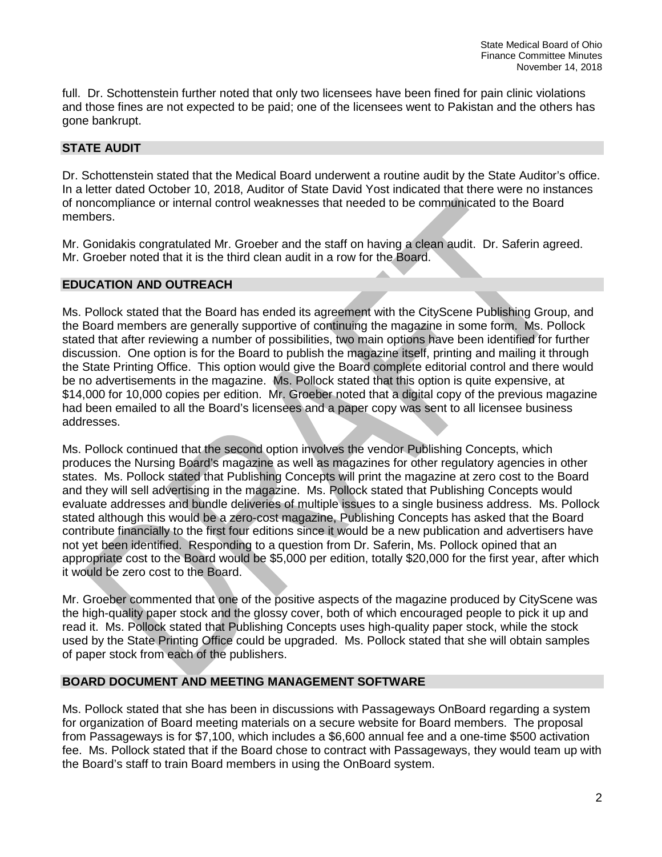full. Dr. Schottenstein further noted that only two licensees have been fined for pain clinic violations and those fines are not expected to be paid; one of the licensees went to Pakistan and the others has gone bankrupt.

## **STATE AUDIT**

Dr. Schottenstein stated that the Medical Board underwent a routine audit by the State Auditor's office. In a letter dated October 10, 2018, Auditor of State David Yost indicated that there were no instances of noncompliance or internal control weaknesses that needed to be communicated to the Board members.

Mr. Gonidakis congratulated Mr. Groeber and the staff on having a clean audit. Dr. Saferin agreed. Mr. Groeber noted that it is the third clean audit in a row for the Board.

## **EDUCATION AND OUTREACH**

Ms. Pollock stated that the Board has ended its agreement with the CityScene Publishing Group, and the Board members are generally supportive of continuing the magazine in some form. Ms. Pollock stated that after reviewing a number of possibilities, two main options have been identified for further discussion. One option is for the Board to publish the magazine itself, printing and mailing it through the State Printing Office. This option would give the Board complete editorial control and there would be no advertisements in the magazine. Ms. Pollock stated that this option is quite expensive, at \$14,000 for 10,000 copies per edition. Mr. Groeber noted that a digital copy of the previous magazine had been emailed to all the Board's licensees and a paper copy was sent to all licensee business addresses.

Ms. Pollock continued that the second option involves the vendor Publishing Concepts, which produces the Nursing Board's magazine as well as magazines for other regulatory agencies in other states. Ms. Pollock stated that Publishing Concepts will print the magazine at zero cost to the Board and they will sell advertising in the magazine. Ms. Pollock stated that Publishing Concepts would evaluate addresses and bundle deliveries of multiple issues to a single business address. Ms. Pollock stated although this would be a zero-cost magazine, Publishing Concepts has asked that the Board contribute financially to the first four editions since it would be a new publication and advertisers have not yet been identified. Responding to a question from Dr. Saferin, Ms. Pollock opined that an appropriate cost to the Board would be \$5,000 per edition, totally \$20,000 for the first year, after which it would be zero cost to the Board.

Mr. Groeber commented that one of the positive aspects of the magazine produced by CityScene was the high-quality paper stock and the glossy cover, both of which encouraged people to pick it up and read it. Ms. Pollock stated that Publishing Concepts uses high-quality paper stock, while the stock used by the State Printing Office could be upgraded. Ms. Pollock stated that she will obtain samples of paper stock from each of the publishers.

# **BOARD DOCUMENT AND MEETING MANAGEMENT SOFTWARE**

Ms. Pollock stated that she has been in discussions with Passageways OnBoard regarding a system for organization of Board meeting materials on a secure website for Board members. The proposal from Passageways is for \$7,100, which includes a \$6,600 annual fee and a one-time \$500 activation fee. Ms. Pollock stated that if the Board chose to contract with Passageways, they would team up with the Board's staff to train Board members in using the OnBoard system.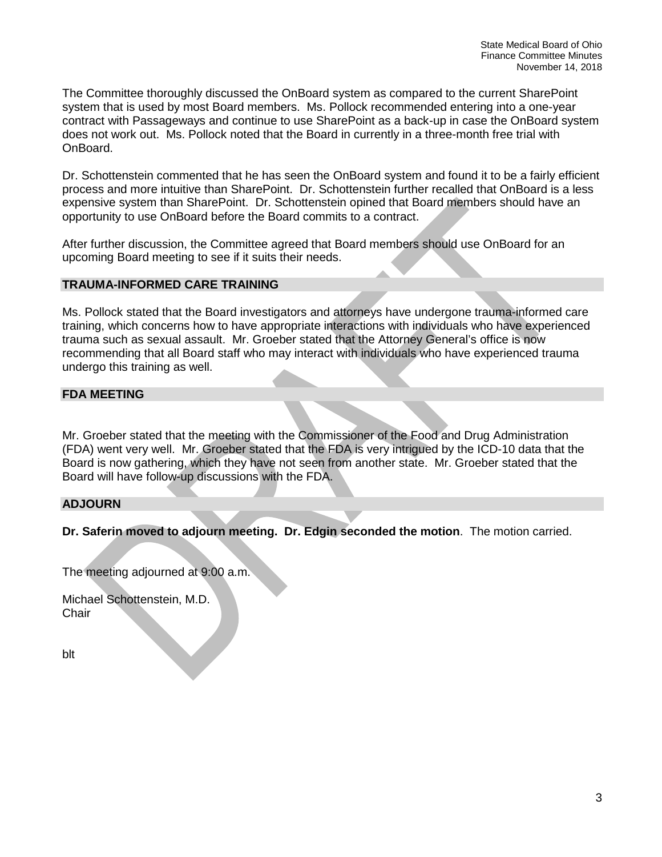The Committee thoroughly discussed the OnBoard system as compared to the current SharePoint system that is used by most Board members. Ms. Pollock recommended entering into a one-year contract with Passageways and continue to use SharePoint as a back-up in case the OnBoard system does not work out. Ms. Pollock noted that the Board in currently in a three-month free trial with OnBoard.

Dr. Schottenstein commented that he has seen the OnBoard system and found it to be a fairly efficient process and more intuitive than SharePoint. Dr. Schottenstein further recalled that OnBoard is a less expensive system than SharePoint. Dr. Schottenstein opined that Board members should have an opportunity to use OnBoard before the Board commits to a contract.

After further discussion, the Committee agreed that Board members should use OnBoard for an upcoming Board meeting to see if it suits their needs.

## **TRAUMA-INFORMED CARE TRAINING**

Ms. Pollock stated that the Board investigators and attorneys have undergone trauma-informed care training, which concerns how to have appropriate interactions with individuals who have experienced trauma such as sexual assault. Mr. Groeber stated that the Attorney General's office is now recommending that all Board staff who may interact with individuals who have experienced trauma undergo this training as well.

## **FDA MEETING**

Mr. Groeber stated that the meeting with the Commissioner of the Food and Drug Administration (FDA) went very well. Mr. Groeber stated that the FDA is very intrigued by the ICD-10 data that the Board is now gathering, which they have not seen from another state. Mr. Groeber stated that the Board will have follow-up discussions with the FDA.

# **ADJOURN**

**Dr. Saferin moved to adjourn meeting. Dr. Edgin seconded the motion**. The motion carried.

The meeting adjourned at 9:00 a.m.

Michael Schottenstein, M.D. **Chair** 

blt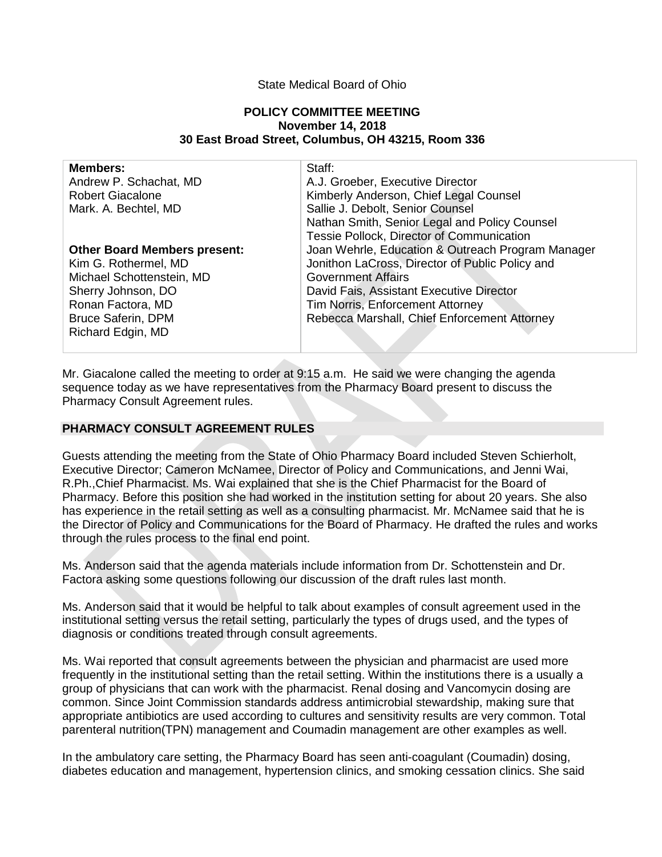## State Medical Board of Ohio

#### **POLICY COMMITTEE MEETING November 14, 2018 30 East Broad Street, Columbus, OH 43215, Room 336**

| <b>Members:</b>                     | Staff:                                            |
|-------------------------------------|---------------------------------------------------|
| Andrew P. Schachat, MD              | A.J. Groeber, Executive Director                  |
| <b>Robert Giacalone</b>             | Kimberly Anderson, Chief Legal Counsel            |
| Mark. A. Bechtel, MD                | Sallie J. Debolt, Senior Counsel                  |
|                                     | Nathan Smith, Senior Legal and Policy Counsel     |
|                                     | Tessie Pollock, Director of Communication         |
| <b>Other Board Members present:</b> | Joan Wehrle, Education & Outreach Program Manager |
| Kim G. Rothermel, MD                | Jonithon LaCross, Director of Public Policy and   |
| Michael Schottenstein, MD           | <b>Government Affairs</b>                         |
| Sherry Johnson, DO                  | David Fais, Assistant Executive Director          |
| Ronan Factora, MD                   | Tim Norris, Enforcement Attorney                  |
| <b>Bruce Saferin, DPM</b>           | Rebecca Marshall, Chief Enforcement Attorney      |
| Richard Edgin, MD                   |                                                   |
|                                     |                                                   |

Mr. Giacalone called the meeting to order at 9:15 a.m. He said we were changing the agenda sequence today as we have representatives from the Pharmacy Board present to discuss the Pharmacy Consult Agreement rules.

## **PHARMACY CONSULT AGREEMENT RULES**

Guests attending the meeting from the State of Ohio Pharmacy Board included Steven Schierholt, Executive Director; Cameron McNamee, Director of Policy and Communications, and Jenni Wai, R.Ph.,Chief Pharmacist. Ms. Wai explained that she is the Chief Pharmacist for the Board of Pharmacy. Before this position she had worked in the institution setting for about 20 years. She also has experience in the retail setting as well as a consulting pharmacist. Mr. McNamee said that he is the Director of Policy and Communications for the Board of Pharmacy. He drafted the rules and works through the rules process to the final end point.

Ms. Anderson said that the agenda materials include information from Dr. Schottenstein and Dr. Factora asking some questions following our discussion of the draft rules last month.

Ms. Anderson said that it would be helpful to talk about examples of consult agreement used in the institutional setting versus the retail setting, particularly the types of drugs used, and the types of diagnosis or conditions treated through consult agreements.

Ms. Wai reported that consult agreements between the physician and pharmacist are used more frequently in the institutional setting than the retail setting. Within the institutions there is a usually a group of physicians that can work with the pharmacist. Renal dosing and Vancomycin dosing are common. Since Joint Commission standards address antimicrobial stewardship, making sure that appropriate antibiotics are used according to cultures and sensitivity results are very common. Total parenteral nutrition(TPN) management and Coumadin management are other examples as well.

In the ambulatory care setting, the Pharmacy Board has seen anti-coagulant (Coumadin) dosing, diabetes education and management, hypertension clinics, and smoking cessation clinics. She said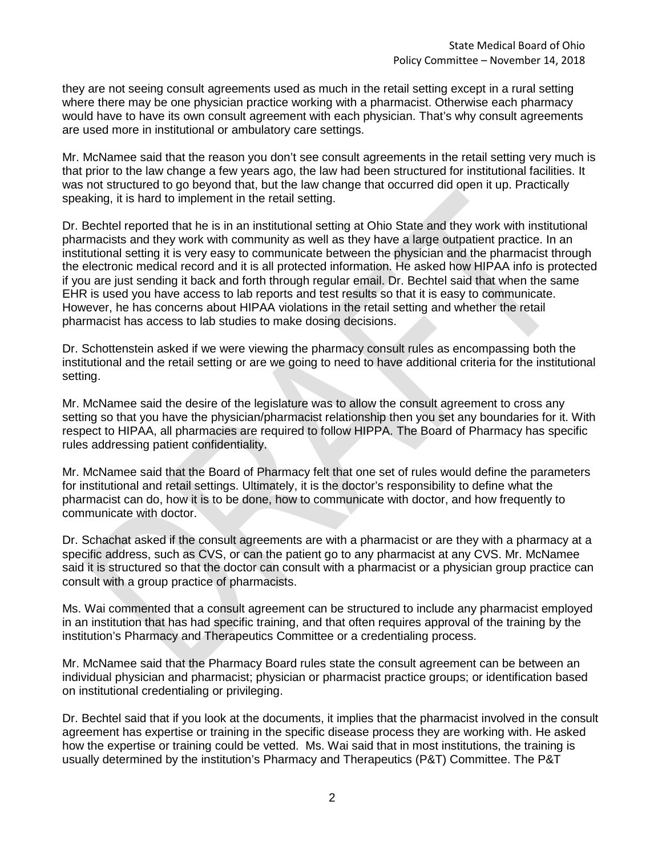they are not seeing consult agreements used as much in the retail setting except in a rural setting where there may be one physician practice working with a pharmacist. Otherwise each pharmacy would have to have its own consult agreement with each physician. That's why consult agreements are used more in institutional or ambulatory care settings.

Mr. McNamee said that the reason you don't see consult agreements in the retail setting very much is that prior to the law change a few years ago, the law had been structured for institutional facilities. It was not structured to go beyond that, but the law change that occurred did open it up. Practically speaking, it is hard to implement in the retail setting.

Dr. Bechtel reported that he is in an institutional setting at Ohio State and they work with institutional pharmacists and they work with community as well as they have a large outpatient practice. In an institutional setting it is very easy to communicate between the physician and the pharmacist through the electronic medical record and it is all protected information. He asked how HIPAA info is protected if you are just sending it back and forth through regular email. Dr. Bechtel said that when the same EHR is used you have access to lab reports and test results so that it is easy to communicate. However, he has concerns about HIPAA violations in the retail setting and whether the retail pharmacist has access to lab studies to make dosing decisions.

Dr. Schottenstein asked if we were viewing the pharmacy consult rules as encompassing both the institutional and the retail setting or are we going to need to have additional criteria for the institutional setting.

Mr. McNamee said the desire of the legislature was to allow the consult agreement to cross any setting so that you have the physician/pharmacist relationship then you set any boundaries for it. With respect to HIPAA, all pharmacies are required to follow HIPPA. The Board of Pharmacy has specific rules addressing patient confidentiality.

Mr. McNamee said that the Board of Pharmacy felt that one set of rules would define the parameters for institutional and retail settings. Ultimately, it is the doctor's responsibility to define what the pharmacist can do, how it is to be done, how to communicate with doctor, and how frequently to communicate with doctor.

Dr. Schachat asked if the consult agreements are with a pharmacist or are they with a pharmacy at a specific address, such as CVS, or can the patient go to any pharmacist at any CVS. Mr. McNamee said it is structured so that the doctor can consult with a pharmacist or a physician group practice can consult with a group practice of pharmacists.

Ms. Wai commented that a consult agreement can be structured to include any pharmacist employed in an institution that has had specific training, and that often requires approval of the training by the institution's Pharmacy and Therapeutics Committee or a credentialing process.

Mr. McNamee said that the Pharmacy Board rules state the consult agreement can be between an individual physician and pharmacist; physician or pharmacist practice groups; or identification based on institutional credentialing or privileging.

Dr. Bechtel said that if you look at the documents, it implies that the pharmacist involved in the consult agreement has expertise or training in the specific disease process they are working with. He asked how the expertise or training could be vetted. Ms. Wai said that in most institutions, the training is usually determined by the institution's Pharmacy and Therapeutics (P&T) Committee. The P&T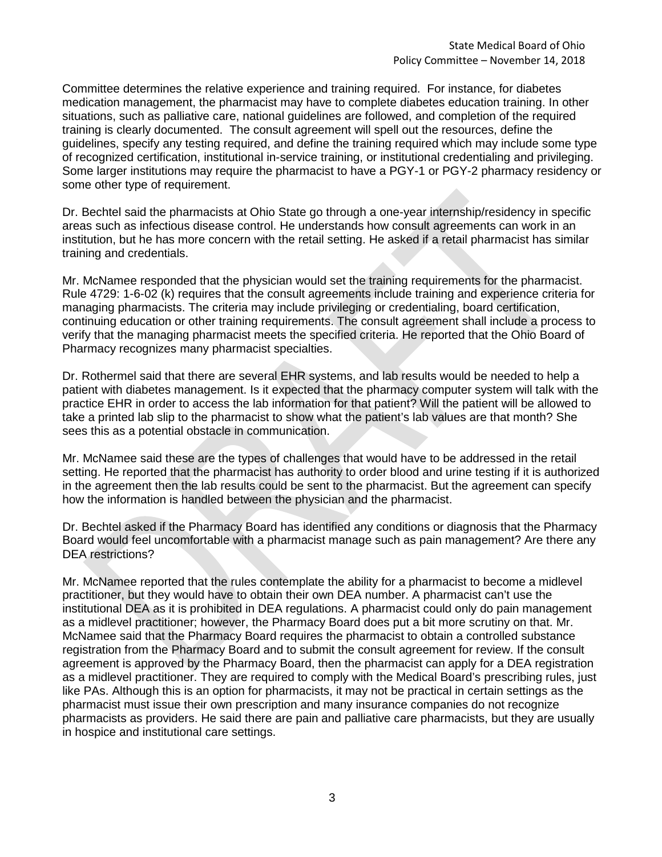Committee determines the relative experience and training required. For instance, for diabetes medication management, the pharmacist may have to complete diabetes education training. In other situations, such as palliative care, national guidelines are followed, and completion of the required training is clearly documented. The consult agreement will spell out the resources, define the guidelines, specify any testing required, and define the training required which may include some type of recognized certification, institutional in-service training, or institutional credentialing and privileging. Some larger institutions may require the pharmacist to have a PGY-1 or PGY-2 pharmacy residency or some other type of requirement.

Dr. Bechtel said the pharmacists at Ohio State go through a one-year internship/residency in specific areas such as infectious disease control. He understands how consult agreements can work in an institution, but he has more concern with the retail setting. He asked if a retail pharmacist has similar training and credentials.

Mr. McNamee responded that the physician would set the training requirements for the pharmacist. Rule 4729: 1-6-02 (k) requires that the consult agreements include training and experience criteria for managing pharmacists. The criteria may include privileging or credentialing, board certification, continuing education or other training requirements. The consult agreement shall include a process to verify that the managing pharmacist meets the specified criteria. He reported that the Ohio Board of Pharmacy recognizes many pharmacist specialties.

Dr. Rothermel said that there are several EHR systems, and lab results would be needed to help a patient with diabetes management. Is it expected that the pharmacy computer system will talk with the practice EHR in order to access the lab information for that patient? Will the patient will be allowed to take a printed lab slip to the pharmacist to show what the patient's lab values are that month? She sees this as a potential obstacle in communication.

Mr. McNamee said these are the types of challenges that would have to be addressed in the retail setting. He reported that the pharmacist has authority to order blood and urine testing if it is authorized in the agreement then the lab results could be sent to the pharmacist. But the agreement can specify how the information is handled between the physician and the pharmacist.

Dr. Bechtel asked if the Pharmacy Board has identified any conditions or diagnosis that the Pharmacy Board would feel uncomfortable with a pharmacist manage such as pain management? Are there any DEA restrictions?

Mr. McNamee reported that the rules contemplate the ability for a pharmacist to become a midlevel practitioner, but they would have to obtain their own DEA number. A pharmacist can't use the institutional DEA as it is prohibited in DEA regulations. A pharmacist could only do pain management as a midlevel practitioner; however, the Pharmacy Board does put a bit more scrutiny on that. Mr. McNamee said that the Pharmacy Board requires the pharmacist to obtain a controlled substance registration from the Pharmacy Board and to submit the consult agreement for review. If the consult agreement is approved by the Pharmacy Board, then the pharmacist can apply for a DEA registration as a midlevel practitioner. They are required to comply with the Medical Board's prescribing rules, just like PAs. Although this is an option for pharmacists, it may not be practical in certain settings as the pharmacist must issue their own prescription and many insurance companies do not recognize pharmacists as providers. He said there are pain and palliative care pharmacists, but they are usually in hospice and institutional care settings.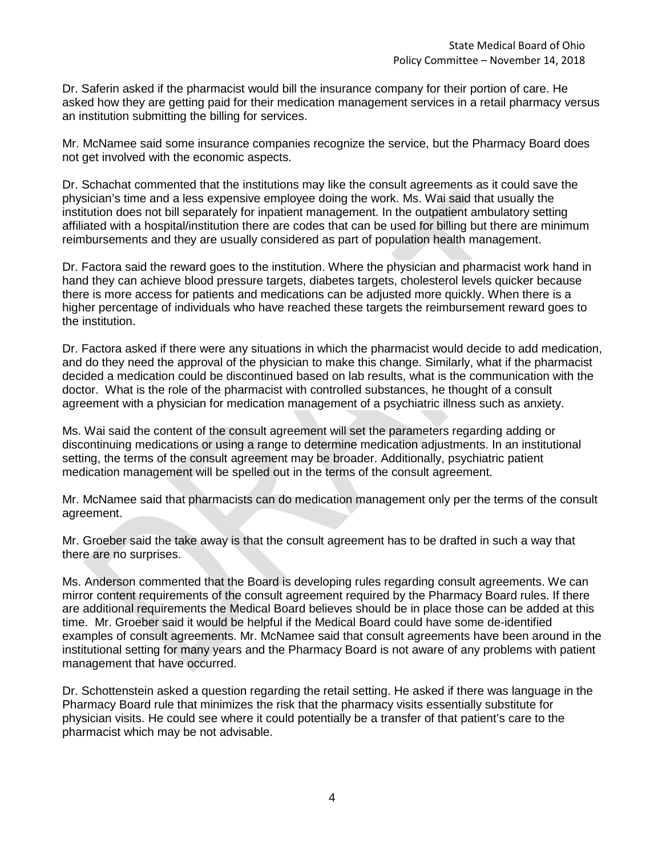Dr. Saferin asked if the pharmacist would bill the insurance company for their portion of care. He asked how they are getting paid for their medication management services in a retail pharmacy versus an institution submitting the billing for services.

Mr. McNamee said some insurance companies recognize the service, but the Pharmacy Board does not get involved with the economic aspects.

Dr. Schachat commented that the institutions may like the consult agreements as it could save the physician's time and a less expensive employee doing the work. Ms. Wai said that usually the institution does not bill separately for inpatient management. In the outpatient ambulatory setting affiliated with a hospital/institution there are codes that can be used for billing but there are minimum reimbursements and they are usually considered as part of population health management.

Dr. Factora said the reward goes to the institution. Where the physician and pharmacist work hand in hand they can achieve blood pressure targets, diabetes targets, cholesterol levels quicker because there is more access for patients and medications can be adjusted more quickly. When there is a higher percentage of individuals who have reached these targets the reimbursement reward goes to the institution.

Dr. Factora asked if there were any situations in which the pharmacist would decide to add medication, and do they need the approval of the physician to make this change. Similarly, what if the pharmacist decided a medication could be discontinued based on lab results, what is the communication with the doctor. What is the role of the pharmacist with controlled substances, he thought of a consult agreement with a physician for medication management of a psychiatric illness such as anxiety.

Ms. Wai said the content of the consult agreement will set the parameters regarding adding or discontinuing medications or using a range to determine medication adjustments. In an institutional setting, the terms of the consult agreement may be broader. Additionally, psychiatric patient medication management will be spelled out in the terms of the consult agreement.

Mr. McNamee said that pharmacists can do medication management only per the terms of the consult agreement.

Mr. Groeber said the take away is that the consult agreement has to be drafted in such a way that there are no surprises.

Ms. Anderson commented that the Board is developing rules regarding consult agreements. We can mirror content requirements of the consult agreement required by the Pharmacy Board rules. If there are additional requirements the Medical Board believes should be in place those can be added at this time. Mr. Groeber said it would be helpful if the Medical Board could have some de-identified examples of consult agreements. Mr. McNamee said that consult agreements have been around in the institutional setting for many years and the Pharmacy Board is not aware of any problems with patient management that have occurred.

Dr. Schottenstein asked a question regarding the retail setting. He asked if there was language in the Pharmacy Board rule that minimizes the risk that the pharmacy visits essentially substitute for physician visits. He could see where it could potentially be a transfer of that patient's care to the pharmacist which may be not advisable.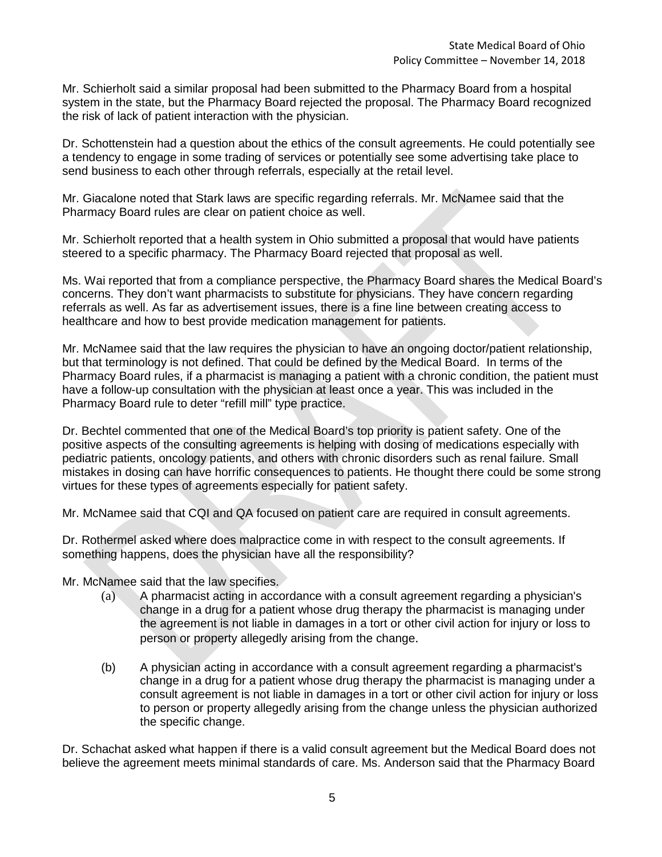Mr. Schierholt said a similar proposal had been submitted to the Pharmacy Board from a hospital system in the state, but the Pharmacy Board rejected the proposal. The Pharmacy Board recognized the risk of lack of patient interaction with the physician.

Dr. Schottenstein had a question about the ethics of the consult agreements. He could potentially see a tendency to engage in some trading of services or potentially see some advertising take place to send business to each other through referrals, especially at the retail level.

Mr. Giacalone noted that Stark laws are specific regarding referrals. Mr. McNamee said that the Pharmacy Board rules are clear on patient choice as well.

Mr. Schierholt reported that a health system in Ohio submitted a proposal that would have patients steered to a specific pharmacy. The Pharmacy Board rejected that proposal as well.

Ms. Wai reported that from a compliance perspective, the Pharmacy Board shares the Medical Board's concerns. They don't want pharmacists to substitute for physicians. They have concern regarding referrals as well. As far as advertisement issues, there is a fine line between creating access to healthcare and how to best provide medication management for patients.

Mr. McNamee said that the law requires the physician to have an ongoing doctor/patient relationship, but that terminology is not defined. That could be defined by the Medical Board. In terms of the Pharmacy Board rules, if a pharmacist is managing a patient with a chronic condition, the patient must have a follow-up consultation with the physician at least once a year. This was included in the Pharmacy Board rule to deter "refill mill" type practice.

Dr. Bechtel commented that one of the Medical Board's top priority is patient safety. One of the positive aspects of the consulting agreements is helping with dosing of medications especially with pediatric patients, oncology patients, and others with chronic disorders such as renal failure. Small mistakes in dosing can have horrific consequences to patients. He thought there could be some strong virtues for these types of agreements especially for patient safety.

Mr. McNamee said that CQI and QA focused on patient care are required in consult agreements.

Dr. Rothermel asked where does malpractice come in with respect to the consult agreements. If something happens, does the physician have all the responsibility?

Mr. McNamee said that the law specifies.

- (a) A pharmacist acting in accordance with a consult agreement regarding a physician's change in a drug for a patient whose drug therapy the pharmacist is managing under the agreement is not liable in damages in a tort or other civil action for injury or loss to person or property allegedly arising from the change.
- (b) A physician acting in accordance with a consult agreement regarding a pharmacist's change in a drug for a patient whose drug therapy the pharmacist is managing under a consult agreement is not liable in damages in a tort or other civil action for injury or loss to person or property allegedly arising from the change unless the physician authorized the specific change.

Dr. Schachat asked what happen if there is a valid consult agreement but the Medical Board does not believe the agreement meets minimal standards of care. Ms. Anderson said that the Pharmacy Board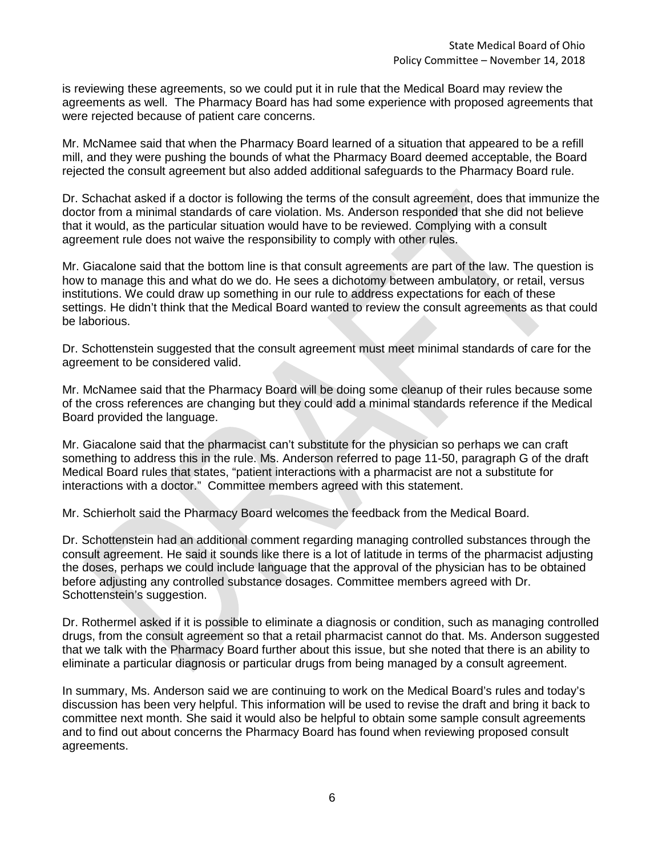is reviewing these agreements, so we could put it in rule that the Medical Board may review the agreements as well. The Pharmacy Board has had some experience with proposed agreements that were rejected because of patient care concerns.

Mr. McNamee said that when the Pharmacy Board learned of a situation that appeared to be a refill mill, and they were pushing the bounds of what the Pharmacy Board deemed acceptable, the Board rejected the consult agreement but also added additional safeguards to the Pharmacy Board rule.

Dr. Schachat asked if a doctor is following the terms of the consult agreement, does that immunize the doctor from a minimal standards of care violation. Ms. Anderson responded that she did not believe that it would, as the particular situation would have to be reviewed. Complying with a consult agreement rule does not waive the responsibility to comply with other rules.

Mr. Giacalone said that the bottom line is that consult agreements are part of the law. The question is how to manage this and what do we do. He sees a dichotomy between ambulatory, or retail, versus institutions. We could draw up something in our rule to address expectations for each of these settings. He didn't think that the Medical Board wanted to review the consult agreements as that could be laborious.

Dr. Schottenstein suggested that the consult agreement must meet minimal standards of care for the agreement to be considered valid.

Mr. McNamee said that the Pharmacy Board will be doing some cleanup of their rules because some of the cross references are changing but they could add a minimal standards reference if the Medical Board provided the language.

Mr. Giacalone said that the pharmacist can't substitute for the physician so perhaps we can craft something to address this in the rule. Ms. Anderson referred to page 11-50, paragraph G of the draft Medical Board rules that states, "patient interactions with a pharmacist are not a substitute for interactions with a doctor." Committee members agreed with this statement.

Mr. Schierholt said the Pharmacy Board welcomes the feedback from the Medical Board.

Dr. Schottenstein had an additional comment regarding managing controlled substances through the consult agreement. He said it sounds like there is a lot of latitude in terms of the pharmacist adjusting the doses, perhaps we could include language that the approval of the physician has to be obtained before adjusting any controlled substance dosages. Committee members agreed with Dr. Schottenstein's suggestion.

Dr. Rothermel asked if it is possible to eliminate a diagnosis or condition, such as managing controlled drugs, from the consult agreement so that a retail pharmacist cannot do that. Ms. Anderson suggested that we talk with the Pharmacy Board further about this issue, but she noted that there is an ability to eliminate a particular diagnosis or particular drugs from being managed by a consult agreement.

In summary, Ms. Anderson said we are continuing to work on the Medical Board's rules and today's discussion has been very helpful. This information will be used to revise the draft and bring it back to committee next month. She said it would also be helpful to obtain some sample consult agreements and to find out about concerns the Pharmacy Board has found when reviewing proposed consult agreements.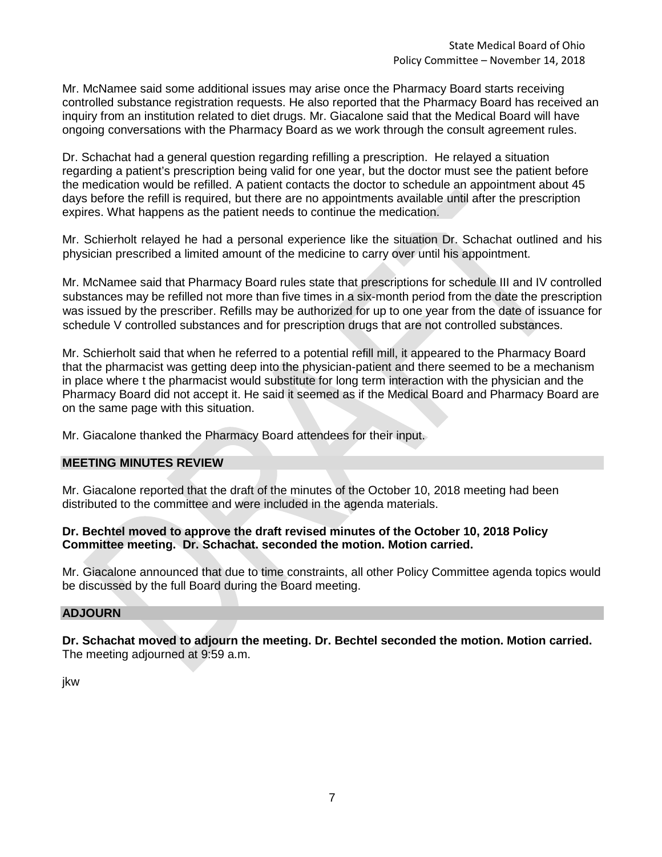Mr. McNamee said some additional issues may arise once the Pharmacy Board starts receiving controlled substance registration requests. He also reported that the Pharmacy Board has received an inquiry from an institution related to diet drugs. Mr. Giacalone said that the Medical Board will have ongoing conversations with the Pharmacy Board as we work through the consult agreement rules.

Dr. Schachat had a general question regarding refilling a prescription. He relayed a situation regarding a patient's prescription being valid for one year, but the doctor must see the patient before the medication would be refilled. A patient contacts the doctor to schedule an appointment about 45 days before the refill is required, but there are no appointments available until after the prescription expires. What happens as the patient needs to continue the medication.

Mr. Schierholt relayed he had a personal experience like the situation Dr. Schachat outlined and his physician prescribed a limited amount of the medicine to carry over until his appointment.

Mr. McNamee said that Pharmacy Board rules state that prescriptions for schedule III and IV controlled substances may be refilled not more than five times in a six-month period from the date the prescription was issued by the prescriber. Refills may be authorized for up to one year from the date of issuance for schedule V controlled substances and for prescription drugs that are not controlled substances.

Mr. Schierholt said that when he referred to a potential refill mill, it appeared to the Pharmacy Board that the pharmacist was getting deep into the physician-patient and there seemed to be a mechanism in place where t the pharmacist would substitute for long term interaction with the physician and the Pharmacy Board did not accept it. He said it seemed as if the Medical Board and Pharmacy Board are on the same page with this situation.

Mr. Giacalone thanked the Pharmacy Board attendees for their input.

# **MEETING MINUTES REVIEW**

Mr. Giacalone reported that the draft of the minutes of the October 10, 2018 meeting had been distributed to the committee and were included in the agenda materials.

## **Dr. Bechtel moved to approve the draft revised minutes of the October 10, 2018 Policy Committee meeting. Dr. Schachat. seconded the motion. Motion carried.**

Mr. Giacalone announced that due to time constraints, all other Policy Committee agenda topics would be discussed by the full Board during the Board meeting.

## **ADJOURN**

**Dr. Schachat moved to adjourn the meeting. Dr. Bechtel seconded the motion. Motion carried.** The meeting adjourned at 9:59 a.m.

jkw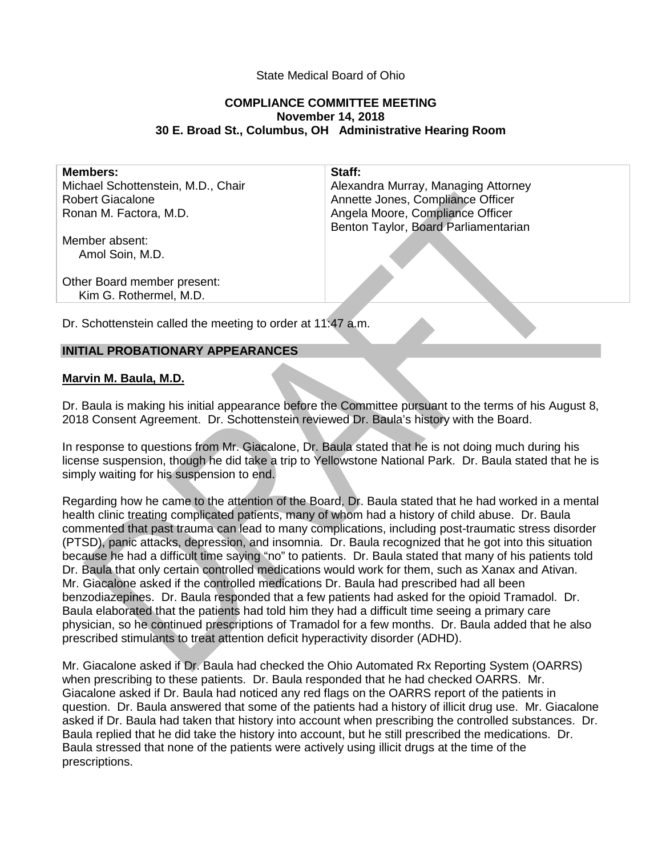# State Medical Board of Ohio

## **COMPLIANCE COMMITTEE MEETING November 14, 2018 30 E. Broad St., Columbus, OH Administrative Hearing Room**

| <b>Members:</b>                                       | Staff:                               |
|-------------------------------------------------------|--------------------------------------|
| Michael Schottenstein, M.D., Chair                    | Alexandra Murray, Managing Attorney  |
| <b>Robert Giacalone</b>                               | Annette Jones, Compliance Officer    |
| Ronan M. Factora, M.D.                                | Angela Moore, Compliance Officer     |
|                                                       | Benton Taylor, Board Parliamentarian |
| Member absent:<br>Amol Soin, M.D.                     |                                      |
| Other Board member present:<br>Kim G. Rothermel, M.D. |                                      |
|                                                       |                                      |

Dr. Schottenstein called the meeting to order at 11:47 a.m.

# **INITIAL PROBATIONARY APPEARANCES**

#### **Marvin M. Baula, M.D.**

Dr. Baula is making his initial appearance before the Committee pursuant to the terms of his August 8, 2018 Consent Agreement. Dr. Schottenstein reviewed Dr. Baula's history with the Board.

In response to questions from Mr. Giacalone, Dr. Baula stated that he is not doing much during his license suspension, though he did take a trip to Yellowstone National Park. Dr. Baula stated that he is simply waiting for his suspension to end.

Regarding how he came to the attention of the Board, Dr. Baula stated that he had worked in a mental health clinic treating complicated patients, many of whom had a history of child abuse. Dr. Baula commented that past trauma can lead to many complications, including post-traumatic stress disorder (PTSD), panic attacks, depression, and insomnia. Dr. Baula recognized that he got into this situation because he had a difficult time saying "no" to patients. Dr. Baula stated that many of his patients told Dr. Baula that only certain controlled medications would work for them, such as Xanax and Ativan. Mr. Giacalone asked if the controlled medications Dr. Baula had prescribed had all been benzodiazepines. Dr. Baula responded that a few patients had asked for the opioid Tramadol. Dr. Baula elaborated that the patients had told him they had a difficult time seeing a primary care physician, so he continued prescriptions of Tramadol for a few months. Dr. Baula added that he also prescribed stimulants to treat attention deficit hyperactivity disorder (ADHD).

Mr. Giacalone asked if Dr. Baula had checked the Ohio Automated Rx Reporting System (OARRS) when prescribing to these patients. Dr. Baula responded that he had checked OARRS. Mr. Giacalone asked if Dr. Baula had noticed any red flags on the OARRS report of the patients in question. Dr. Baula answered that some of the patients had a history of illicit drug use. Mr. Giacalone asked if Dr. Baula had taken that history into account when prescribing the controlled substances. Dr. Baula replied that he did take the history into account, but he still prescribed the medications. Dr. Baula stressed that none of the patients were actively using illicit drugs at the time of the prescriptions.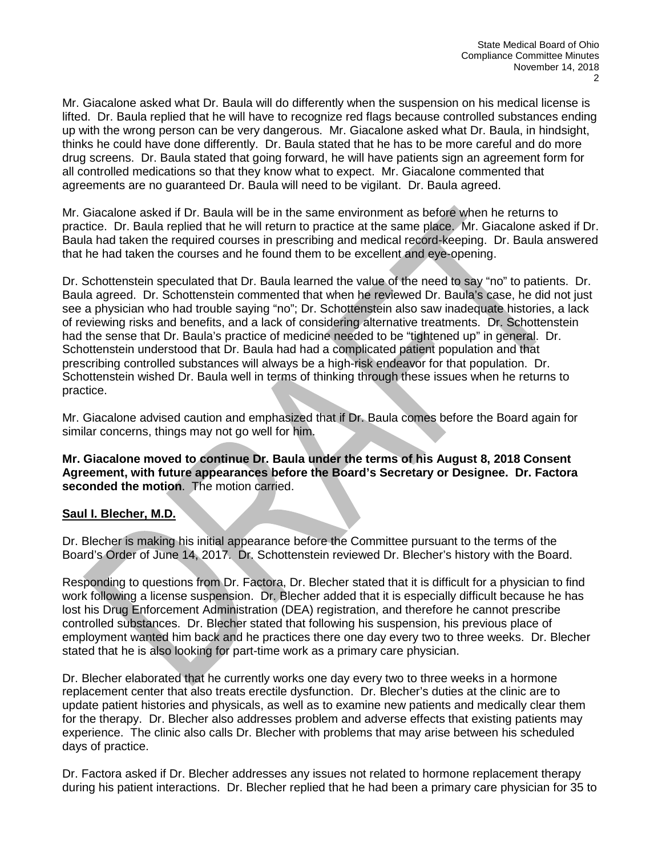Mr. Giacalone asked what Dr. Baula will do differently when the suspension on his medical license is lifted. Dr. Baula replied that he will have to recognize red flags because controlled substances ending up with the wrong person can be very dangerous. Mr. Giacalone asked what Dr. Baula, in hindsight, thinks he could have done differently. Dr. Baula stated that he has to be more careful and do more drug screens. Dr. Baula stated that going forward, he will have patients sign an agreement form for all controlled medications so that they know what to expect. Mr. Giacalone commented that agreements are no guaranteed Dr. Baula will need to be vigilant. Dr. Baula agreed.

Mr. Giacalone asked if Dr. Baula will be in the same environment as before when he returns to practice. Dr. Baula replied that he will return to practice at the same place. Mr. Giacalone asked if Dr. Baula had taken the required courses in prescribing and medical record-keeping. Dr. Baula answered that he had taken the courses and he found them to be excellent and eye-opening.

Dr. Schottenstein speculated that Dr. Baula learned the value of the need to say "no" to patients. Dr. Baula agreed. Dr. Schottenstein commented that when he reviewed Dr. Baula's case, he did not just see a physician who had trouble saying "no"; Dr. Schottenstein also saw inadequate histories, a lack of reviewing risks and benefits, and a lack of considering alternative treatments. Dr. Schottenstein had the sense that Dr. Baula's practice of medicine needed to be "tightened up" in general. Dr. Schottenstein understood that Dr. Baula had had a complicated patient population and that prescribing controlled substances will always be a high-risk endeavor for that population. Dr. Schottenstein wished Dr. Baula well in terms of thinking through these issues when he returns to practice.

Mr. Giacalone advised caution and emphasized that if Dr. Baula comes before the Board again for similar concerns, things may not go well for him.

**Mr. Giacalone moved to continue Dr. Baula under the terms of his August 8, 2018 Consent Agreement, with future appearances before the Board's Secretary or Designee. Dr. Factora seconded the motion**. The motion carried.

#### **Saul I. Blecher, M.D.**

Dr. Blecher is making his initial appearance before the Committee pursuant to the terms of the Board's Order of June 14, 2017. Dr. Schottenstein reviewed Dr. Blecher's history with the Board.

Responding to questions from Dr. Factora, Dr. Blecher stated that it is difficult for a physician to find work following a license suspension. Dr. Blecher added that it is especially difficult because he has lost his Drug Enforcement Administration (DEA) registration, and therefore he cannot prescribe controlled substances. Dr. Blecher stated that following his suspension, his previous place of employment wanted him back and he practices there one day every two to three weeks. Dr. Blecher stated that he is also looking for part-time work as a primary care physician.

Dr. Blecher elaborated that he currently works one day every two to three weeks in a hormone replacement center that also treats erectile dysfunction. Dr. Blecher's duties at the clinic are to update patient histories and physicals, as well as to examine new patients and medically clear them for the therapy. Dr. Blecher also addresses problem and adverse effects that existing patients may experience. The clinic also calls Dr. Blecher with problems that may arise between his scheduled days of practice.

Dr. Factora asked if Dr. Blecher addresses any issues not related to hormone replacement therapy during his patient interactions. Dr. Blecher replied that he had been a primary care physician for 35 to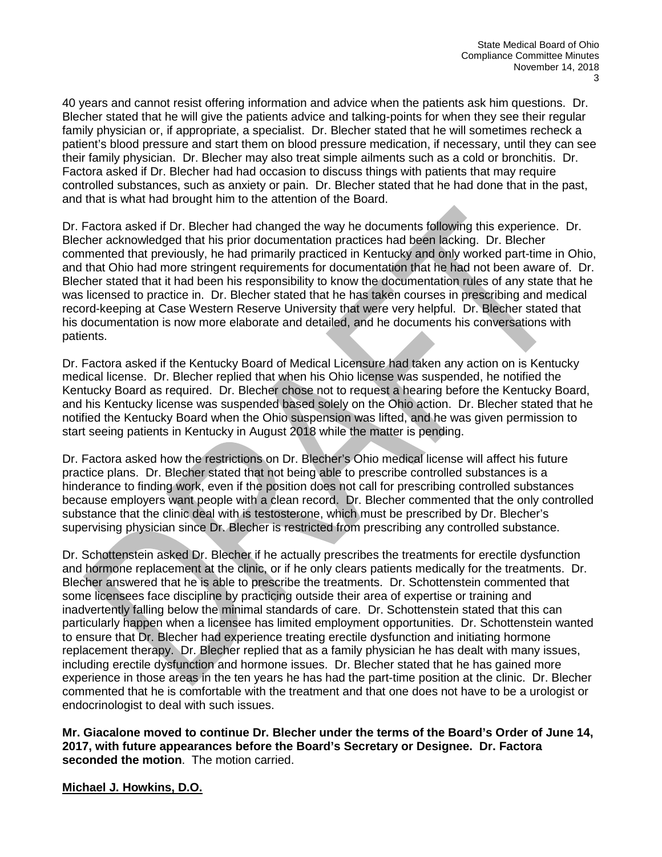40 years and cannot resist offering information and advice when the patients ask him questions. Dr. Blecher stated that he will give the patients advice and talking-points for when they see their regular family physician or, if appropriate, a specialist. Dr. Blecher stated that he will sometimes recheck a patient's blood pressure and start them on blood pressure medication, if necessary, until they can see their family physician. Dr. Blecher may also treat simple ailments such as a cold or bronchitis. Dr. Factora asked if Dr. Blecher had had occasion to discuss things with patients that may require controlled substances, such as anxiety or pain. Dr. Blecher stated that he had done that in the past, and that is what had brought him to the attention of the Board.

Dr. Factora asked if Dr. Blecher had changed the way he documents following this experience. Dr. Blecher acknowledged that his prior documentation practices had been lacking. Dr. Blecher commented that previously, he had primarily practiced in Kentucky and only worked part-time in Ohio, and that Ohio had more stringent requirements for documentation that he had not been aware of. Dr. Blecher stated that it had been his responsibility to know the documentation rules of any state that he was licensed to practice in. Dr. Blecher stated that he has taken courses in prescribing and medical record-keeping at Case Western Reserve University that were very helpful. Dr. Blecher stated that his documentation is now more elaborate and detailed, and he documents his conversations with patients.

Dr. Factora asked if the Kentucky Board of Medical Licensure had taken any action on is Kentucky medical license. Dr. Blecher replied that when his Ohio license was suspended, he notified the Kentucky Board as required. Dr. Blecher chose not to request a hearing before the Kentucky Board, and his Kentucky license was suspended based solely on the Ohio action. Dr. Blecher stated that he notified the Kentucky Board when the Ohio suspension was lifted, and he was given permission to start seeing patients in Kentucky in August 2018 while the matter is pending.

Dr. Factora asked how the restrictions on Dr. Blecher's Ohio medical license will affect his future practice plans. Dr. Blecher stated that not being able to prescribe controlled substances is a hinderance to finding work, even if the position does not call for prescribing controlled substances because employers want people with a clean record. Dr. Blecher commented that the only controlled substance that the clinic deal with is testosterone, which must be prescribed by Dr. Blecher's supervising physician since Dr. Blecher is restricted from prescribing any controlled substance.

Dr. Schottenstein asked Dr. Blecher if he actually prescribes the treatments for erectile dysfunction and hormone replacement at the clinic, or if he only clears patients medically for the treatments. Dr. Blecher answered that he is able to prescribe the treatments. Dr. Schottenstein commented that some licensees face discipline by practicing outside their area of expertise or training and inadvertently falling below the minimal standards of care. Dr. Schottenstein stated that this can particularly happen when a licensee has limited employment opportunities. Dr. Schottenstein wanted to ensure that Dr. Blecher had experience treating erectile dysfunction and initiating hormone replacement therapy. Dr. Blecher replied that as a family physician he has dealt with many issues, including erectile dysfunction and hormone issues. Dr. Blecher stated that he has gained more experience in those areas in the ten years he has had the part-time position at the clinic. Dr. Blecher commented that he is comfortable with the treatment and that one does not have to be a urologist or endocrinologist to deal with such issues.

**Mr. Giacalone moved to continue Dr. Blecher under the terms of the Board's Order of June 14, 2017, with future appearances before the Board's Secretary or Designee. Dr. Factora seconded the motion**. The motion carried.

#### **Michael J. Howkins, D.O.**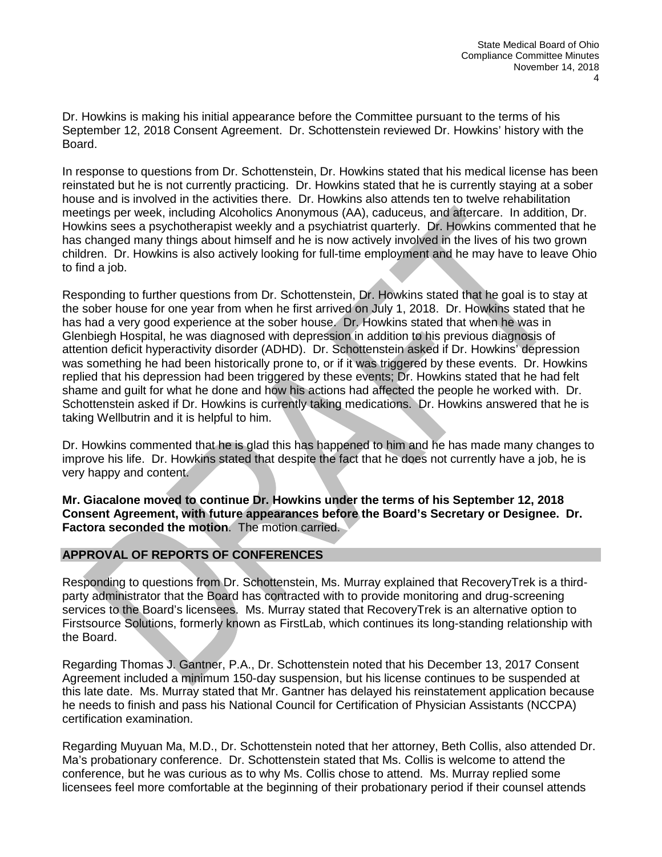Dr. Howkins is making his initial appearance before the Committee pursuant to the terms of his September 12, 2018 Consent Agreement. Dr. Schottenstein reviewed Dr. Howkins' history with the Board.

In response to questions from Dr. Schottenstein, Dr. Howkins stated that his medical license has been reinstated but he is not currently practicing. Dr. Howkins stated that he is currently staying at a sober house and is involved in the activities there. Dr. Howkins also attends ten to twelve rehabilitation meetings per week, including Alcoholics Anonymous (AA), caduceus, and aftercare. In addition, Dr. Howkins sees a psychotherapist weekly and a psychiatrist quarterly. Dr. Howkins commented that he has changed many things about himself and he is now actively involved in the lives of his two grown children. Dr. Howkins is also actively looking for full-time employment and he may have to leave Ohio to find a job.

Responding to further questions from Dr. Schottenstein, Dr. Howkins stated that he goal is to stay at the sober house for one year from when he first arrived on July 1, 2018. Dr. Howkins stated that he has had a very good experience at the sober house. Dr. Howkins stated that when he was in Glenbiegh Hospital, he was diagnosed with depression in addition to his previous diagnosis of attention deficit hyperactivity disorder (ADHD). Dr. Schottenstein asked if Dr. Howkins' depression was something he had been historically prone to, or if it was triggered by these events. Dr. Howkins replied that his depression had been triggered by these events; Dr. Howkins stated that he had felt shame and guilt for what he done and how his actions had affected the people he worked with. Dr. Schottenstein asked if Dr. Howkins is currently taking medications. Dr. Howkins answered that he is taking Wellbutrin and it is helpful to him.

Dr. Howkins commented that he is glad this has happened to him and he has made many changes to improve his life. Dr. Howkins stated that despite the fact that he does not currently have a job, he is very happy and content.

**Mr. Giacalone moved to continue Dr. Howkins under the terms of his September 12, 2018 Consent Agreement, with future appearances before the Board's Secretary or Designee. Dr. Factora seconded the motion**. The motion carried.

# **APPROVAL OF REPORTS OF CONFERENCES**

Responding to questions from Dr. Schottenstein, Ms. Murray explained that RecoveryTrek is a thirdparty administrator that the Board has contracted with to provide monitoring and drug-screening services to the Board's licensees. Ms. Murray stated that RecoveryTrek is an alternative option to Firstsource Solutions, formerly known as FirstLab, which continues its long-standing relationship with the Board.

Regarding Thomas J. Gantner, P.A., Dr. Schottenstein noted that his December 13, 2017 Consent Agreement included a minimum 150-day suspension, but his license continues to be suspended at this late date. Ms. Murray stated that Mr. Gantner has delayed his reinstatement application because he needs to finish and pass his National Council for Certification of Physician Assistants (NCCPA) certification examination.

Regarding Muyuan Ma, M.D., Dr. Schottenstein noted that her attorney, Beth Collis, also attended Dr. Ma's probationary conference. Dr. Schottenstein stated that Ms. Collis is welcome to attend the conference, but he was curious as to why Ms. Collis chose to attend. Ms. Murray replied some licensees feel more comfortable at the beginning of their probationary period if their counsel attends